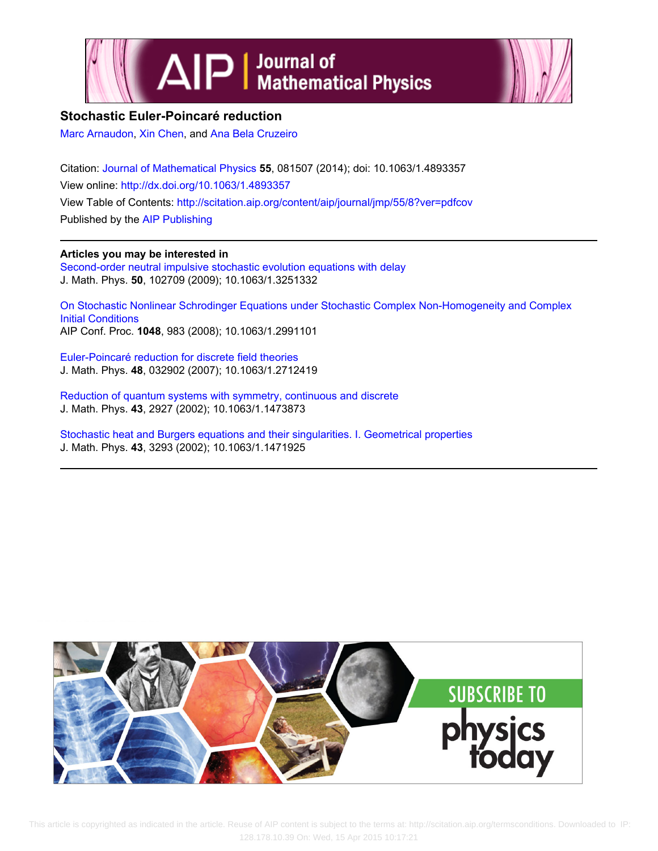



# **Stochastic Euler-Poincaré reduction**

[Marc Arnaudon](http://scitation.aip.org/search?value1=Marc+Arnaudon&option1=author), [Xin Chen,](http://scitation.aip.org/search?value1=Xin+Chen&option1=author) and [Ana Bela Cruzeiro](http://scitation.aip.org/search?value1=Ana+Bela+Cruzeiro&option1=author)

Citation: [Journal of Mathematical Physics](http://scitation.aip.org/content/aip/journal/jmp?ver=pdfcov) **55**, 081507 (2014); doi: 10.1063/1.4893357 View online: <http://dx.doi.org/10.1063/1.4893357> View Table of Contents: <http://scitation.aip.org/content/aip/journal/jmp/55/8?ver=pdfcov> Published by the [AIP Publishing](http://scitation.aip.org/content/aip?ver=pdfcov)

# **Articles you may be interested in**

[Second-order neutral impulsive stochastic evolution equations with delay](http://scitation.aip.org/content/aip/journal/jmp/50/10/10.1063/1.3251332?ver=pdfcov) J. Math. Phys. **50**, 102709 (2009); 10.1063/1.3251332

[On Stochastic Nonlinear Schrodinger Equations under Stochastic Complex Non‐Homogeneity and Complex](http://scitation.aip.org/content/aip/proceeding/aipcp/10.1063/1.2991101?ver=pdfcov) [Initial Conditions](http://scitation.aip.org/content/aip/proceeding/aipcp/10.1063/1.2991101?ver=pdfcov) AIP Conf. Proc. **1048**, 983 (2008); 10.1063/1.2991101

[Euler-Poincaré reduction for discrete field theories](http://scitation.aip.org/content/aip/journal/jmp/48/3/10.1063/1.2712419?ver=pdfcov) J. Math. Phys. **48**, 032902 (2007); 10.1063/1.2712419

[Reduction of quantum systems with symmetry, continuous and discrete](http://scitation.aip.org/content/aip/journal/jmp/43/6/10.1063/1.1473873?ver=pdfcov) J. Math. Phys. **43**, 2927 (2002); 10.1063/1.1473873

[Stochastic heat and Burgers equations and their singularities. I. Geometrical properties](http://scitation.aip.org/content/aip/journal/jmp/43/6/10.1063/1.1471925?ver=pdfcov) J. Math. Phys. **43**, 3293 (2002); 10.1063/1.1471925



 This article is copyrighted as indicated in the article. Reuse of AIP content is subject to the terms at: http://scitation.aip.org/termsconditions. Downloaded to IP: 128.178.10.39 On: Wed, 15 Apr 2015 10:17:21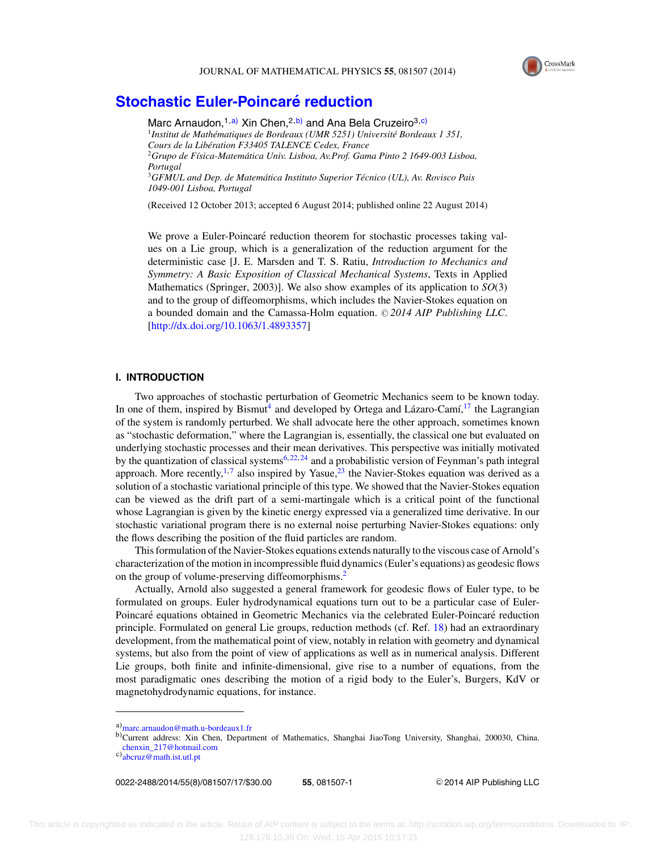

# **Stochastic Euler-Poincaré reduction**

Marc Arnaudon,  $1, a)$  Xin Chen,  $2, b)$  and Ana Bela Cruzeiro  $3, c)$ <sup>1</sup> Institut de Mathématiques de Bordeaux (UMR 5251) Université Bordeaux 1 351, *Cours de la Liberation F33405 TALENCE Cedex, France ´* <sup>2</sup>*Grupo de F´ısica-Matematica Univ. Lisboa, Av.Prof. Gama Pinto 2 1649-003 Lisboa, ´ Portugal* <sup>3</sup>*GFMUL and Dep. de Matematica Instituto Superior T ´ ecnico (UL), Av. Rovisco Pais ´ 1049-001 Lisboa, Portugal*

(Received 12 October 2013; accepted 6 August 2014; published online 22 August 2014)

We prove a Euler-Poincaré reduction theorem for stochastic processes taking values on a Lie group, which is a generalization of the reduction argument for the deterministic case [J. E. Marsden and T. S. Ratiu, *Introduction to Mechanics and Symmetry: A Basic Exposition of Classical Mechanical Systems*, Texts in Applied Mathematics (Springer, 2003)]. We also show examples of its application to *SO*(3) and to the group of diffeomorphisms, which includes the Navier-Stokes equation on a bounded domain and the Camassa-Holm equation. © 2014 AIP Publishing LLC. [\[http://dx.doi.org/10.1063/1.4893357\]](http://dx.doi.org/10.1063/1.4893357)

#### **I. INTRODUCTION**

Two approaches of stochastic perturbation of Geometric Mechanics seem to be known today. In one of them, inspired by Bismut<sup>4</sup> and developed by Ortega and Lázaro-Camí,<sup>[17](#page-17-0)</sup> the Lagrangian of the system is randomly perturbed. We shall advocate here the other approach, sometimes known as "stochastic deformation," where the Lagrangian is, essentially, the classical one but evaluated on underlying stochastic processes and their mean derivatives. This perspective was initially motivated by the quantization of classical systems<sup>6, [22,](#page-17-0) [24](#page-17-0)</sup> and a probabilistic version of Feynman's path integral approach. More recently,<sup>[1,](#page-16-0)[7](#page-16-0)</sup> also inspired by Yasue,<sup>[23](#page-17-0)</sup> the Navier-Stokes equation was derived as a solution of a stochastic variational principle of this type. We showed that the Navier-Stokes equation can be viewed as the drift part of a semi-martingale which is a critical point of the functional whose Lagrangian is given by the kinetic energy expressed via a generalized time derivative. In our stochastic variational program there is no external noise perturbing Navier-Stokes equations: only the flows describing the position of the fluid particles are random.

This formulation of the Navier-Stokes equations extends naturally to the viscous case of Arnold's characterization of the motion in incompressible fluid dynamics (Euler's equations) as geodesic flows on the group of volume-preserving diffeomorphisms.<sup>2</sup>

Actually, Arnold also suggested a general framework for geodesic flows of Euler type, to be formulated on groups. Euler hydrodynamical equations turn out to be a particular case of Euler-Poincaré equations obtained in Geometric Mechanics via the celebrated Euler-Poincaré reduction principle. Formulated on general Lie groups, reduction methods (cf. Ref. [18\)](#page-17-0) had an extraordinary development, from the mathematical point of view, notably in relation with geometry and dynamical systems, but also from the point of view of applications as well as in numerical analysis. Different Lie groups, both finite and infinite-dimensional, give rise to a number of equations, from the most paradigmatic ones describing the motion of a rigid body to the Euler's, Burgers, KdV or magnetohydrodynamic equations, for instance.

0022-2488/2014/55(8)/081507/17/\$30.00 **55**, 081507-1 -

<sup>C</sup> 2014 AIP Publishing LLC

a[\)marc.arnaudon@math.u-bordeaux1.fr](mailto: marc.arnaudon@math.u-bordeaux1.fr)

b)Current address: Xin Chen, Department of Mathematics, Shanghai JiaoTong University, Shanghai, 200030, China. [chenxin\\_217@hotmail.com](mailto: chenxin_217@hotmail.com)

c[\)abcruz@math.ist.utl.pt](mailto: abcruz@math.ist.utl.pt)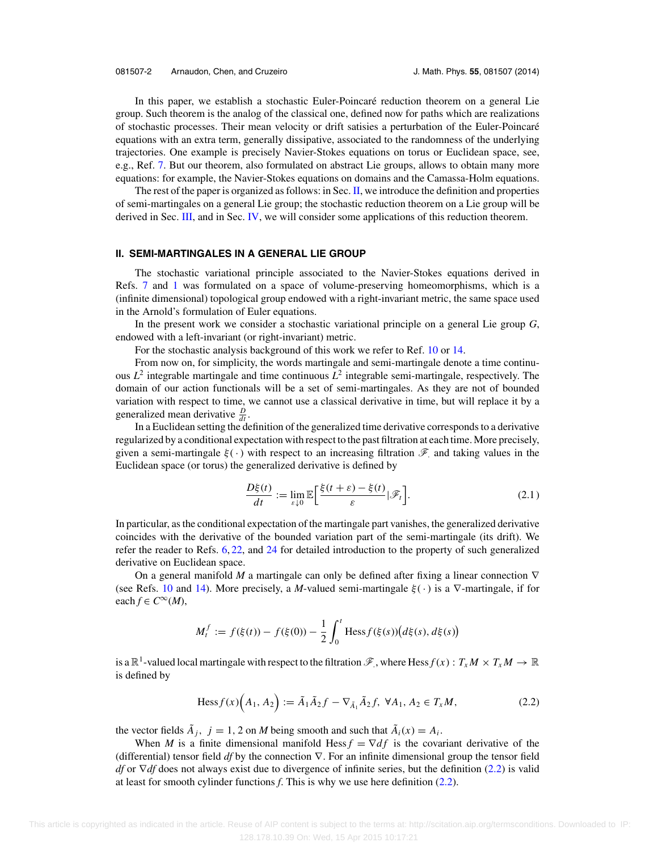<span id="page-2-0"></span>In this paper, we establish a stochastic Euler-Poincaré reduction theorem on a general Lie group. Such theorem is the analog of the classical one, defined now for paths which are realizations of stochastic processes. Their mean velocity or drift satisies a perturbation of the Euler-Poincare´ equations with an extra term, generally dissipative, associated to the randomness of the underlying trajectories. One example is precisely Navier-Stokes equations on torus or Euclidean space, see, e.g., Ref. [7.](#page-16-0) But our theorem, also formulated on abstract Lie groups, allows to obtain many more equations: for example, the Navier-Stokes equations on domains and the Camassa-Holm equations.

The rest of the paper is organized as follows: in Sec. II, we introduce the definition and properties of semi-martingales on a general Lie group; the stochastic reduction theorem on a Lie group will be derived in Sec. [III,](#page-4-0) and in Sec. [IV,](#page-9-0) we will consider some applications of this reduction theorem.

## **II. SEMI-MARTINGALES IN A GENERAL LIE GROUP**

The stochastic variational principle associated to the Navier-Stokes equations derived in Refs. [7](#page-16-0) and [1](#page-16-0) was formulated on a space of volume-preserving homeomorphisms, which is a (infinite dimensional) topological group endowed with a right-invariant metric, the same space used in the Arnold's formulation of Euler equations.

In the present work we consider a stochastic variational principle on a general Lie group *G*, endowed with a left-invariant (or right-invariant) metric.

For the stochastic analysis background of this work we refer to Ref. [10](#page-16-0) or [14.](#page-17-0)

From now on, for simplicity, the words martingale and semi-martingale denote a time continuous  $L^2$  integrable martingale and time continuous  $L^2$  integrable semi-martingale, respectively. The domain of our action functionals will be a set of semi-martingales. As they are not of bounded variation with respect to time, we cannot use a classical derivative in time, but will replace it by a generalized mean derivative  $\frac{D}{dt}$ .

In a Euclidean setting the definition of the generalized time derivative corresponds to a derivative regularized by a conditional expectation with respect to the past filtration at each time. More precisely, given a semi-martingale  $\xi(\cdot)$  with respect to an increasing filtration  $\mathscr{F}$  and taking values in the Euclidean space (or torus) the generalized derivative is defined by

$$
\frac{D\xi(t)}{dt} := \lim_{\varepsilon \downarrow 0} \mathbb{E} \left[ \frac{\xi(t+\varepsilon) - \xi(t)}{\varepsilon} | \mathcal{F}_t \right].
$$
 (2.1)

In particular, as the conditional expectation of the martingale part vanishes, the generalized derivative coincides with the derivative of the bounded variation part of the semi-martingale (its drift). We refer the reader to Refs. [6,](#page-16-0) [22,](#page-17-0) and [24](#page-17-0) for detailed introduction to the property of such generalized derivative on Euclidean space.

On a general manifold *M* a martingale can only be defined after fixing a linear connection ∇ (see Refs. [10](#page-16-0) and [14\)](#page-17-0). More precisely, a *M*-valued semi-martingale  $\xi(\cdot)$  is a  $\nabla$ -martingale, if for  $\operatorname{each} f \in C^{\infty}(M)$ ,

$$
M_t^f := f(\xi(t)) - f(\xi(0)) - \frac{1}{2} \int_0^t \text{Hess} f(\xi(s)) (d\xi(s), d\xi(s))
$$

is a  $\mathbb{R}^1$ -valued local martingale with respect to the filtration  $\mathscr{F}$ , where Hess  $f(x): T_xM \times T_xM \to \mathbb{R}$ is defined by

$$
\text{Hess} f(x) \Big( A_1, A_2 \Big) := \tilde{A}_1 \tilde{A}_2 f - \nabla_{\tilde{A}_1} \tilde{A}_2 f, \ \forall A_1, A_2 \in T_x M,
$$
\n(2.2)

the vector fields  $\tilde{A}_i$ ,  $j = 1, 2$  on *M* being smooth and such that  $\tilde{A}_i(x) = A_i$ .

When *M* is a finite dimensional manifold Hess  $f = \nabla df$  is the covariant derivative of the (differential) tensor field *df* by the connection ∇. For an infinite dimensional group the tensor field *df* or ∇*df* does not always exist due to divergence of infinite series, but the definition (2.2) is valid at least for smooth cylinder functions *f*. This is why we use here definition (2.2).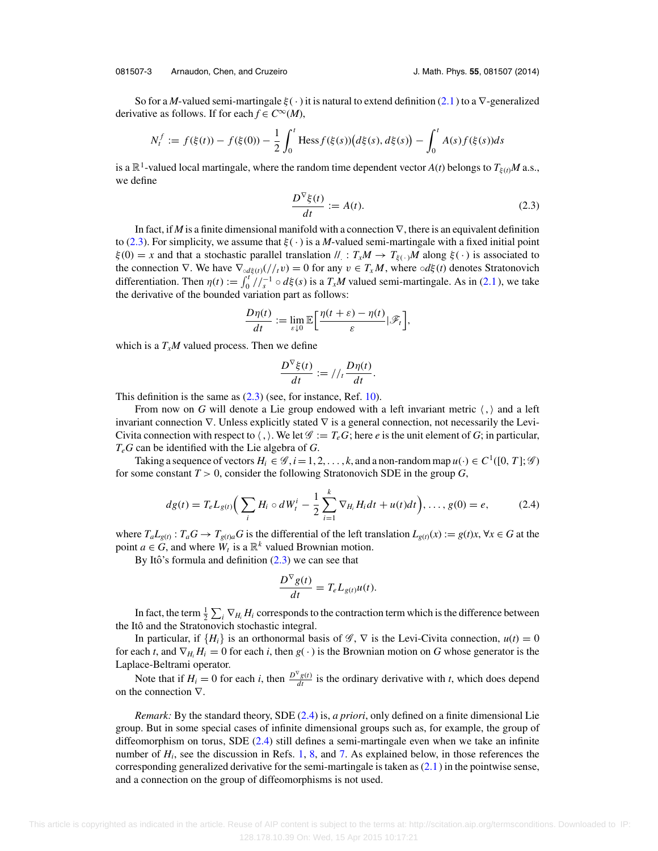#### <span id="page-3-0"></span>081507-3 Arnaudon, Chen, and Cruzeiro J. Math. Phys. **55**, 081507 (2014)

So for a *M*-valued semi-martingale  $\xi(\cdot)$  it is natural to extend definition [\(2.1\)](#page-2-0) to a  $\nabla$ -generalized derivative as follows. If for each  $f \in C^{\infty}(M)$ ,

$$
N_t^f := f(\xi(t)) - f(\xi(0)) - \frac{1}{2} \int_0^t \text{Hess} f(\xi(s)) \big( d\xi(s), d\xi(s) \big) - \int_0^t A(s) f(\xi(s)) ds
$$

is a  $\mathbb{R}^1$ -valued local martingale, where the random time dependent vector *A*(*t*) belongs to  $T_{\xi(t)}M$  a.s., we define

$$
\frac{D^{\nabla}\xi(t)}{dt} := A(t). \tag{2.3}
$$

In fact, if *M* is a finite dimensional manifold with a connection ∇, there is an equivalent definition to (2.3). For simplicity, we assume that  $\xi(\cdot)$  is a *M*-valued semi-martingale with a fixed initial point  $\xi(0) = x$  and that a stochastic parallel translation  $\ell : T_xM \to T_{\xi(\cdot)}M$  along  $\xi(\cdot)$  is associated to the connection  $\nabla$ . We have  $\nabla_{\alpha d\xi(t)}(t/t_1 v) = 0$  for any  $v \in T_x M$ , where  $\alpha d\xi(t)$  denotes Stratonovich differentiation. Then  $\eta(t) := \int_0^t / \int_s^{-1} \circ d\xi(s)$  is a  $T_xM$  valued semi-martingale. As in [\(2.1\)](#page-2-0), we take the derivative of the bounded variation part as follows:

$$
\frac{D\eta(t)}{dt} := \lim_{\varepsilon \downarrow 0} \mathbb{E}\bigg[\frac{\eta(t+\varepsilon) - \eta(t)}{\varepsilon}|\mathscr{F}_t\bigg],
$$

which is a  $T_xM$  valued process. Then we define

$$
\frac{D^{\nabla}\xi(t)}{dt} := //_t \frac{D\eta(t)}{dt}.
$$

This definition is the same as  $(2.3)$  (see, for instance, Ref. [10\)](#page-16-0).

From now on G will denote a Lie group endowed with a left invariant metric  $\langle , \rangle$  and a left invariant connection  $\nabla$ . Unless explicitly stated  $\nabla$  is a general connection, not necessarily the Levi-Civita connection with respect to  $\langle , \rangle$ . We let  $\mathscr{G} := T_eG$ ; here *e* is the unit element of *G*; in particular, *TeG* can be identified with the Lie algebra of *G*.

Taking a sequence of vectors  $H_i \in \mathcal{G}, i = 1, 2, ..., k$ , and a non-random map  $u(\cdot) \in C^1([0, T]; \mathcal{G})$ for some constant  $T > 0$ , consider the following Stratonovich SDE in the group  $G$ ,

$$
dg(t) = T_e L_{g(t)} \Big( \sum_i H_i \circ dW_t^i - \frac{1}{2} \sum_{i=1}^k \nabla_{H_i} H_i dt + u(t) dt \Big), \dots, g(0) = e, \tag{2.4}
$$

where  $T_a L_{g(t)}$ :  $T_a G \rightarrow T_{g(t)a} G$  is the differential of the left translation  $L_{g(t)}(x) := g(t)x$ ,  $\forall x \in G$  at the point  $a \in G$ , and where  $W_t$  is a  $\mathbb{R}^k$  valued Brownian motion.

By Itô's formula and definition  $(2.3)$  we can see that

$$
\frac{D^{\nabla}g(t)}{dt}=T_eL_{g(t)}u(t).
$$

In fact, the term  $\frac{1}{2}\sum_i \nabla_{H_i} H_i$  corresponds to the contraction term which is the difference between the Itô and the Stratonovich stochastic integral.

In particular, if  $\{H_i\}$  is an orthonormal basis of  $\mathscr{G}, \nabla$  is the Levi-Civita connection,  $u(t) = 0$ for each *t*, and  $\nabla_{H_i} H_i = 0$  for each *i*, then  $g(\cdot)$  is the Brownian motion on *G* whose generator is the Laplace-Beltrami operator.

Note that if  $H_i = 0$  for each *i*, then  $\frac{D^{\nabla} g(t)}{dt}$  is the ordinary derivative with *t*, which does depend on the connection ∇.

*Remark:* By the standard theory, SDE (2.4) is, *a priori*, only defined on a finite dimensional Lie group. But in some special cases of infinite dimensional groups such as, for example, the group of diffeomorphism on torus, SDE (2.4) still defines a semi-martingale even when we take an infinite number of  $H_i$ , see the discussion in Refs. [1,](#page-16-0) [8,](#page-16-0) and [7.](#page-16-0) As explained below, in those references the corresponding generalized derivative for the semi-martingale is taken as  $(2.1)$  in the pointwise sense, and a connection on the group of diffeomorphisms is not used.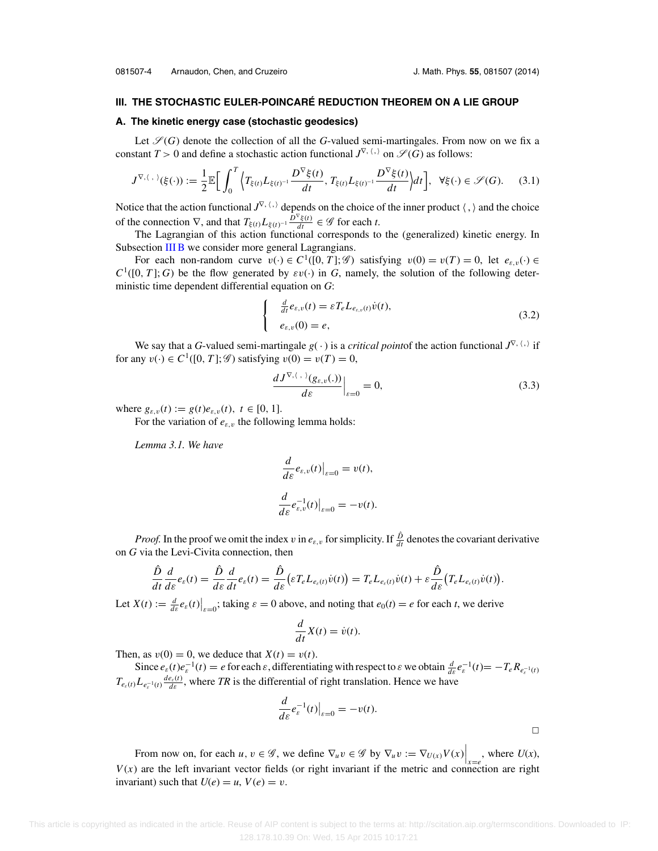# <span id="page-4-0"></span>**III. THE STOCHASTIC EULER-POINCARE REDUCTION THEOREM ON A LIE GROUP ´**

#### **A. The kinetic energy case (stochastic geodesics)**

Let  $\mathcal{S}(G)$  denote the collection of all the G-valued semi-martingales. From now on we fix a constant  $T > 0$  and define a stochastic action functional  $J^{\nabla, \langle , \rangle}$  on  $\mathscr{S}(G)$  as follows:

$$
J^{\nabla,\langle\,\,\cdot\,\rangle}(\xi(\cdot)) := \frac{1}{2} \mathbb{E}\bigg[\int_0^T \Big\langle T_{\xi(t)} L_{\xi(t)^{-1}} \frac{D^{\nabla}\xi(t)}{dt}, T_{\xi(t)} L_{\xi(t)^{-1}} \frac{D^{\nabla}\xi(t)}{dt}\Big\rangle dt\bigg], \ \ \forall \xi(\cdot) \in \mathscr{S}(G). \tag{3.1}
$$

Notice that the action functional  $J^{\nabla}$ ,  $\langle \cdot \rangle$  depends on the choice of the inner product  $\langle \cdot, \rangle$  and the choice of the connection  $\nabla$ , and that  $T_{\xi(t)} L_{\xi(t)^{-1}} \frac{D^{\nabla} \xi(t)}{dt} \in \mathscr{G}$  for each *t*.

The Lagrangian of this action functional corresponds to the (generalized) kinetic energy. In Subsection [III B](#page-6-0) we consider more general Lagrangians.

For each non-random curve  $v(\cdot) \in C^1([0, T]; \mathscr{G})$  satisfying  $v(0) = v(T) = 0$ , let  $e_{\varepsilon, v}(\cdot) \in C$  $C^1([0, T]; G)$  be the flow generated by  $\varepsilon v(\cdot)$  in *G*, namely, the solution of the following deterministic time dependent differential equation on *G*:

$$
\begin{cases}\n\frac{d}{dt}e_{\varepsilon,v}(t) = \varepsilon T_e L_{e_{\varepsilon,v}(t)}\dot{v}(t), \\
e_{\varepsilon,v}(0) = e,\n\end{cases}
$$
\n(3.2)

We say that a *G*-valued semi-martingale  $g(\cdot)$  is a *critical point* of the action functional  $J^{\nabla}$ ,  $\langle \cdot \rangle$  if for any  $v(\cdot) \in C^1([0, T]; \mathscr{G})$  satisfying  $v(0) = v(T) = 0$ ,

$$
\left. \frac{dJ^{\nabla,\langle \cdot, \cdot \rangle}(g_{\varepsilon,v}(.))}{d\varepsilon} \right|_{\varepsilon=0} = 0, \tag{3.3}
$$

where  $g_{\varepsilon, v}(t) := g(t)e_{\varepsilon, v}(t), t \in [0, 1].$ 

For the variation of  $e_{\varepsilon, v}$  the following lemma holds:

*Lemma 3.1. We have*

$$
\frac{d}{d\varepsilon}e_{\varepsilon,v}(t)\Big|_{\varepsilon=0}=v(t),
$$
  

$$
\frac{d}{d\varepsilon}e_{\varepsilon,v}^{-1}(t)\Big|_{\varepsilon=0}=-v(t).
$$

*Proof.* In the proof we omit the index v in  $e_{\varepsilon, v}$  for simplicity. If  $\frac{\hat{D}}{dt}$  denotes the covariant derivative on *G* via the Levi-Civita connection, then

$$
\frac{\hat{D}}{dt}\frac{d}{d\varepsilon}e_{\varepsilon}(t)=\frac{\hat{D}}{d\varepsilon}\frac{d}{dt}e_{\varepsilon}(t)=\frac{\hat{D}}{d\varepsilon}\big(\varepsilon T_eL_{e_{\varepsilon}(t)}\dot{v}(t)\big)=T_eL_{e_{\varepsilon}(t)}\dot{v}(t)+\varepsilon\frac{\hat{D}}{d\varepsilon}\big(T_eL_{e_{\varepsilon}(t)}\dot{v}(t)\big).
$$

Let  $X(t) := \frac{d}{dt} e_{\varepsilon}(t) \Big|_{\varepsilon=0}$ ; taking  $\varepsilon = 0$  above, and noting that  $e_0(t) = e$  for each *t*, we derive

$$
\frac{d}{dt}X(t) = \dot{v}(t).
$$

Then, as  $v(0) = 0$ , we deduce that  $X(t) = v(t)$ .

Since  $e_{\varepsilon}(t)e_{\varepsilon}^{-1}(t) = e$  for each  $\varepsilon$ , differentiating with respect to  $\varepsilon$  we obtain  $\frac{d}{d\varepsilon}e_{\varepsilon}^{-1}(t) = -T_{\varepsilon}R_{e_{\varepsilon}^{-1}(t)}$  $T_{e_{\varepsilon}(t)} L_{e_{\varepsilon}^{-1}(t)} \frac{de_{\varepsilon}(t)}{d\varepsilon}$ , where *TR* is the differential of right translation. Hence we have

$$
\frac{d}{d\varepsilon}e_{\varepsilon}^{-1}(t)\big|_{\varepsilon=0}=-v(t).
$$

 $\overline{\phantom{0}}$ 

From now on, for each  $u, v \in \mathscr{G}$ , we define  $\nabla_u v \in \mathscr{G}$  by  $\nabla_u v := \nabla_{U(x)} V(x) \Big|_{x=e}$ , where  $U(x)$ ,  $V(x)$  are the left invariant vector fields (or right invariant if the metric and connection are right invariant) such that  $U(e) = u$ ,  $V(e) = v$ .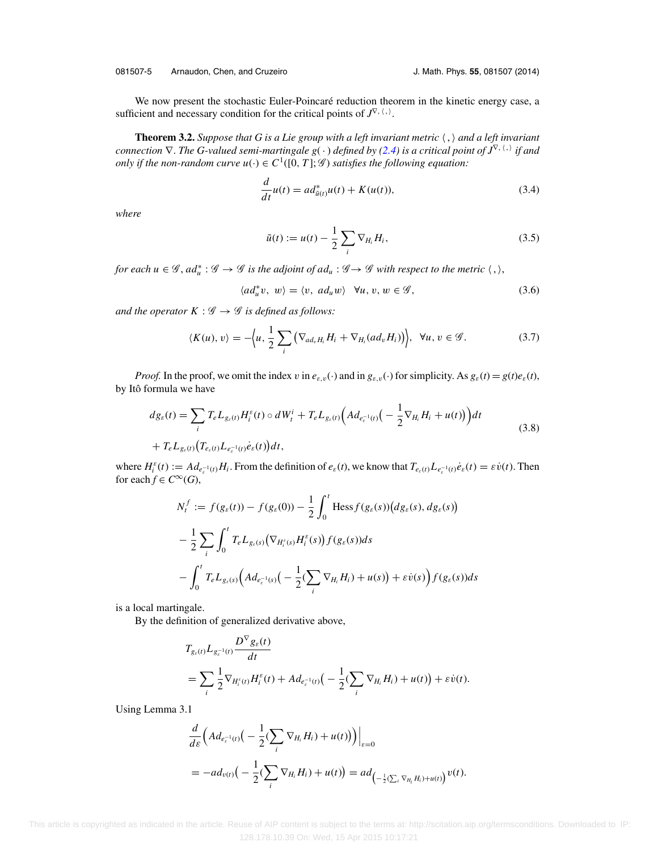<span id="page-5-0"></span>We now present the stochastic Euler-Poincaré reduction theorem in the kinetic energy case, a sufficient and necessary condition for the critical points of  $J^{\nabla}$ ,  $\langle \cdot \rangle$ .

**Theorem 3.2.** *Suppose that G is a Lie group with a left invariant metric* , *and a left invariant connection* ∇. *The G-valued semi-martingale g*( · ) *defined by [\(2.4\)](#page-3-0) is a critical point of J*<sup>∇</sup>, , *if and only if the non-random curve*  $u(\cdot) \in C^1([0, T]; \mathscr{G})$  *satisfies the following equation:* 

$$
\frac{d}{dt}u(t) = ad^*_{\tilde{u}(t)}u(t) + K(u(t)),
$$
\n(3.4)

*where*

$$
\tilde{u}(t) := u(t) - \frac{1}{2} \sum_{i} \nabla_{H_i} H_i,
$$
\n(3.5)

*for each*  $u \in \mathscr{G}$ ,  $ad^*_u : \mathscr{G} \to \mathscr{G}$  *is the adjoint of*  $ad_u : \mathscr{G} \to \mathscr{G}$  *with respect to the metric*  $\langle , \rangle$ ,

$$
\langle ad_u^* v, w \rangle = \langle v, ad_u w \rangle \quad \forall u, v, w \in \mathscr{G}, \tag{3.6}
$$

*and the operator*  $K : \mathcal{G} \to \mathcal{G}$  *is defined as follows:* 

$$
\langle K(u), v \rangle = -\Big\langle u, \frac{1}{2} \sum_{i} \big( \nabla_{ad_{v}H_{i}} H_{i} + \nabla_{H_{i}} (ad_{v} H_{i}) \big) \Big\rangle, \ \ \forall u, v \in \mathscr{G}.
$$

*Proof.* In the proof, we omit the index v in  $e_{\varepsilon,\nu}(\cdot)$  and in  $g_{\varepsilon,\nu}(\cdot)$  for simplicity. As  $g_{\varepsilon}(t) = g(t)e_{\varepsilon}(t)$ , by Itô formula we have

$$
d g_{\varepsilon}(t) = \sum_{i} T_{e} L_{g_{\varepsilon}(t)} H_{i}^{\varepsilon}(t) \circ d W_{t}^{i} + T_{e} L_{g_{\varepsilon}(t)} \Big( Ad_{e_{\varepsilon}^{-1}(t)} \Big( - \frac{1}{2} \nabla_{H_{i}} H_{i} + u(t) \Big) \Big) dt
$$
  
+ 
$$
T_{e} L_{g_{\varepsilon}(t)} \Big( T_{e_{\varepsilon}(t)} L_{e_{\varepsilon}^{-1}(t)} \dot{e}_{\varepsilon}(t) \Big) dt,
$$
 (3.8)

where  $H_i^{\varepsilon}(t) := Ad_{e_{\varepsilon}^{-1}(t)}H_i$ . From the definition of  $e_{\varepsilon}(t)$ , we know that  $T_{e_{\varepsilon}(t)}L_{e_{\varepsilon}^{-1}(t)}\dot{e}_{\varepsilon}(t) = \varepsilon \dot{v}(t)$ . Then for each  $f \in C^{\infty}(G)$ ,

$$
N_t^f := f(g_{\varepsilon}(t)) - f(g_{\varepsilon}(0)) - \frac{1}{2} \int_0^t \text{Hess} f(g_{\varepsilon}(s)) (dg_{\varepsilon}(s), dg_{\varepsilon}(s))
$$
  

$$
- \frac{1}{2} \sum_i \int_0^t T_{\varepsilon} L_{g_{\varepsilon}(s)} (\nabla_{H_i^{\varepsilon}(s)} H_i^{\varepsilon}(s)) f(g_{\varepsilon}(s)) ds
$$
  

$$
- \int_0^t T_{\varepsilon} L_{g_{\varepsilon}(s)} (Ad_{e_{\varepsilon}^{-1}(s)} \big( - \frac{1}{2} (\sum_i \nabla_{H_i} H_i) + u(s)) + \varepsilon \dot{v}(s) \big) f(g_{\varepsilon}(s)) ds
$$

is a local martingale.

By the definition of generalized derivative above,

$$
T_{g_{\varepsilon}(t)} L_{g_{\varepsilon}^{-1}(t)} \frac{D^{\nabla} g_{\varepsilon}(t)}{dt}
$$
  
= 
$$
\sum_{i} \frac{1}{2} \nabla_{H_i^{\varepsilon}(t)} H_i^{\varepsilon}(t) + Ad_{e_{\varepsilon}^{-1}(t)} \big( - \frac{1}{2} (\sum_{i} \nabla_{H_i} H_i) + u(t) \big) + \varepsilon \dot{v}(t).
$$

Using Lemma 3.1

$$
\frac{d}{d\varepsilon} \Big( Ad_{e_{\varepsilon}^{-1}(t)} \Big( - \frac{1}{2} (\sum_{i} \nabla_{H_i} H_i) + u(t) \Big) \Big) \Big|_{\varepsilon=0}
$$
\n
$$
= -ad_{v(t)} \Big( - \frac{1}{2} (\sum_{i} \nabla_{H_i} H_i) + u(t) \Big) = ad_{\Big( - \frac{1}{2} (\sum_{i} \nabla_{H_i} H_i) + u(t) \Big)} v(t).
$$

 This article is copyrighted as indicated in the article. Reuse of AIP content is subject to the terms at: http://scitation.aip.org/termsconditions. Downloaded to IP: 128.178.10.39 On: Wed, 15 Apr 2015 10:17:21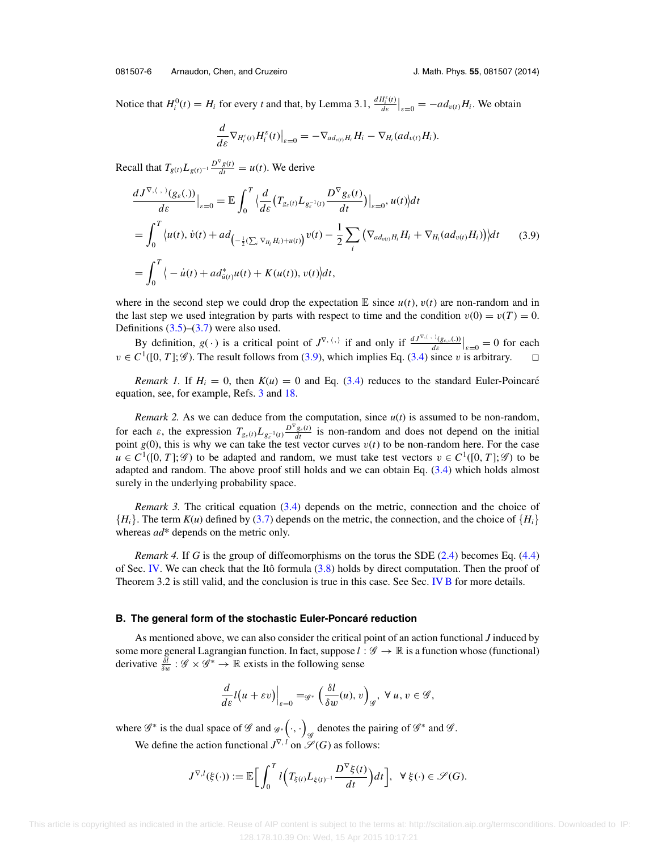<span id="page-6-0"></span>Notice that  $H_i^0(t) = H_i$  for every *t* and that, by Lemma 3.1,  $\frac{dH_i^s(t)}{ds}\Big|_{s=0} = -ad_{v(t)}H_i$ . We obtain

$$
\frac{d}{d\varepsilon}\nabla_{H_i^{\varepsilon}(t)}H_i^{\varepsilon}(t)\big|_{\varepsilon=0}=-\nabla_{ad_{v(t)}H_i}H_i-\nabla_{H_i}(ad_{v(t)}H_i).
$$

Recall that  $T_{g(t)}L_{g(t)^{-1}}\frac{D^{\nabla}g(t)}{dt} = u(t)$ . We derive

$$
\frac{dJ^{\nabla,\langle .\rangle}(g_{\varepsilon}(.))}{d\varepsilon}\Big|_{\varepsilon=0} = \mathbb{E}\int_0^T \Big\langle \frac{d}{d\varepsilon} \big(T_{g_{\varepsilon}(t)}L_{g_{\varepsilon}^{-1}(t)}\frac{D^{\nabla}g_{\varepsilon}(t)}{dt}\big)\Big|_{\varepsilon=0}, u(t)\Big\rangle dt
$$
\n
$$
= \int_0^T \Big\langle u(t), \dot{v}(t) + ad_{\left(-\frac{1}{2}(\sum_i \nabla_{H_i} H_i) + u(t)\right)} v(t) - \frac{1}{2} \sum_i \big(\nabla_{ad_{v(t)}H_i} H_i + \nabla_{H_i}(ad_{v(t)}H_i)\big) \Big\rangle dt \qquad (3.9)
$$
\n
$$
= \int_0^T \Big\langle -\dot{u}(t) + ad_{\tilde{u}(t)}^*u(t) + K(u(t)), v(t)\Big\rangle dt,
$$

where in the second step we could drop the expectation  $\mathbb E$  since  $u(t)$ ,  $v(t)$  are non-random and in the last step we used integration by parts with respect to time and the condition  $v(0) = v(T) = 0$ . Definitions  $(3.5)$ – $(3.7)$  were also used.

By definition,  $g(\cdot)$  is a critical point of  $J^{\nabla, \langle \cdot \rangle}$  if and only if  $\frac{dJ^{\nabla, \langle \cdot \rangle}(g_{\varepsilon, v}(\cdot))}{d\varepsilon}|_{\varepsilon=0} = 0$  for each  $v \in C^1([0, T]; \mathscr{G})$ . The result follows from (3.9), which implies Eq. [\(3.4\)](#page-5-0) since v is arbitrary.  $\Box$ 

*Remark 1.* If  $H_i = 0$ , then  $K(u) = 0$  and Eq. [\(3.4\)](#page-5-0) reduces to the standard Euler-Poincaré equation, see, for example, Refs. [3](#page-16-0) and [18.](#page-17-0)

*Remark 2.* As we can deduce from the computation, since  $u(t)$  is assumed to be non-random, for each  $\varepsilon$ , the expression  $T_{g_{\varepsilon}(t)} L_{g_{\varepsilon}^{-1}(t)} \frac{D^{\nabla} g_{\varepsilon}(t)}{dt}$  is non-random and does not depend on the initial point  $g(0)$ , this is why we can take the test vector curves  $v(t)$  to be non-random here. For the case  $u \in C^1([0, T]; \mathscr{G})$  to be adapted and random, we must take test vectors  $v \in C^1([0, T]; \mathscr{G})$  to be adapted and random. The above proof still holds and we can obtain Eq. [\(3.4\)](#page-5-0) which holds almost surely in the underlying probability space.

*Remark 3.* The critical equation [\(3.4\)](#page-5-0) depends on the metric, connection and the choice of  ${H_i}$ . The term  $K(u)$  defined by [\(3.7\)](#page-5-0) depends on the metric, the connection, and the choice of  ${H_i}$ whereas *ad*\* depends on the metric only.

*Remark 4.* If *G* is the group of diffeomorphisms on the torus the SDE [\(2.4\)](#page-3-0) becomes Eq. [\(4.4\)](#page-11-0) of Sec. [IV.](#page-9-0) We can check that the Itô formula  $(3.8)$  $(3.8)$  holds by direct computation. Then the proof of Theorem 3.2 is still valid, and the conclusion is true in this case. See Sec. [IV B](#page-10-0) for more details.

#### **B.** The general form of the stochastic Euler-Poncaré reduction

As mentioned above, we can also consider the critical point of an action functional *J* induced by some more general Lagrangian function. In fact, suppose  $l : \mathscr{G} \to \mathbb{R}$  is a function whose (functional) derivative  $\frac{\delta l}{\delta w}$  :  $\mathscr{G} \times \mathscr{G}^* \to \mathbb{R}$  exists in the following sense

$$
\frac{d}{d\varepsilon}l\big(u+\varepsilon v\big)\Big|_{\varepsilon=0}=\mathscr{G}^*\left(\frac{\delta l}{\delta w}(u),v\right)_{\mathscr{G}},\ \forall\,u,\,v\in\mathscr{G},
$$

where  $\mathscr{G}^*$  is the dual space of  $\mathscr{G}$  and  $\mathscr{G}^*$   $(\cdot, \cdot)_{\mathscr{G}}$  denotes the pairing of  $\mathscr{G}^*$  and  $\mathscr{G}$ . We define the action functional  $J^{\nabla, l}$  on  $\mathscr{S}(G)$  as follows:

$$
J^{\nabla,l}(\xi(\cdot)) := \mathbb{E}\bigg[\int_0^T l\bigg(T_{\xi(t)}L_{\xi(t)^{-1}}\frac{D^{\nabla}\xi(t)}{dt}\bigg)dt\bigg], \ \ \forall \ \xi(\cdot) \in \mathscr{S}(G).
$$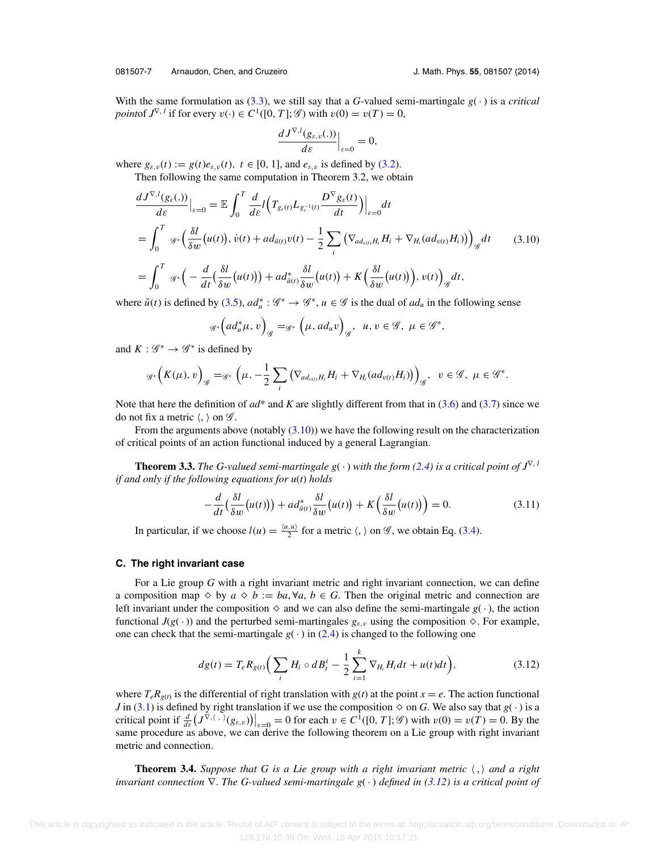<span id="page-7-0"></span>With the same formulation as [\(3.3\)](#page-4-0), we still say that a *G*-valued semi-martingale  $g(\cdot)$  is a *critical point*of  $J^{\nabla}$ , *l* if for every  $v(\cdot) \in C^1([0, T]; \mathscr{G})$  with  $v(0) = v(T) = 0$ ,

$$
\frac{dJ^{\nabla,l}(g_{\varepsilon,v}(.))}{d\varepsilon}\Big|_{\varepsilon=0}=0,
$$

where  $g_{\varepsilon,v}(t) := g(t)e_{\varepsilon,v}(t)$ ,  $t \in [0, 1]$ , and  $e_{\varepsilon,v}$  is defined by [\(3.2\)](#page-4-0). Then following the same computation in Theorem 3.2, we obtain

 $dJ^{\nabla,l}(g_{\varepsilon}(.))$  $\left. \frac{\partial \mathcal{E}(\cdot)}{\partial \varepsilon} \right|_{\varepsilon=0} = \mathbb{E}$  $\int_0^T$ 0 *d*  $\frac{d}{d\varepsilon}l\Bigl(T_{g_{\varepsilon}(t)}L_{g_{\varepsilon}^{-1}(t)}$  $D^{\nabla} g_{\varepsilon}(t)$ *dt*  $\int\Big|_{\varepsilon=0} dt$  $=$  $\int_1^T$  $\int_0^T$  <sub>G\*</sub>  $\Big(\frac{\delta l}{\delta u}$  $\frac{\delta l}{\delta w}(u(t)), \dot{v}(t) + ad_{\tilde{u}(t)}v(t) - \frac{1}{2}$  $\sum$ *i*  $\left(\nabla_{ad_{v(t)}H_i}H_i+\nabla_{H_i}(ad_{v(t)}H_i)\right)_{\mathscr{G}}dt$  $=$  $\int_1^T$  $\int_0^T g^*\left(-\frac{d}{dt}\left(\frac{\delta l}{\delta w}(u(t))\right)+ad^*_{\tilde{u}(t)}\right)$ δ*l*  $\frac{\delta l}{\delta w}(u(t)) + K\left(\frac{\delta l}{\delta u}\right)$  $\frac{\partial l}{\partial w}(u(t))$ ,  $v(t)$ ) G *dt*, (3.10)

where  $\tilde{u}(t)$  is defined by [\(3.5\)](#page-5-0),  $ad_u^* : \mathcal{G}^* \to \mathcal{G}^*$ ,  $u \in \mathcal{G}$  is the dual of  $ad_u$  in the following sense

$$
\mathscr{G}^*\left(ad_u^*\mu,\,v\right)_{\mathscr{G}}=\mathscr{G}^*\left(\mu,\,ad_uv\right)_{\mathscr{G}},\ \ u,\,v\in\mathscr{G},\ \mu\in\mathscr{G}^*,
$$

and  $K: \mathcal{G}^* \to \mathcal{G}^*$  is defined by

$$
\mathscr{G}^*\left(K(\mu),v\right)_{\mathscr{G}} = \mathscr{G}^*\left(\mu, -\frac{1}{2}\sum_i \left(\nabla_{ad_{v(t)}H_i} H_i + \nabla_{H_i}(ad_{v(t)}H_i)\right)\right)_{\mathscr{G}}, \quad v \in \mathscr{G}, \ \mu \in \mathscr{G}^*.
$$

Note that here the definition of *ad*\* and *K* are slightly different from that in [\(3.6\)](#page-5-0) and [\(3.7\)](#page-5-0) since we do not fix a metric  $\langle, \rangle$  on  $\mathscr{G}$ .

From the arguments above (notably  $(3.10)$ ) we have the following result on the characterization of critical points of an action functional induced by a general Lagrangian.

**Theorem 3.3.** *The G-valued semi-martingale g( ·) with the form [\(2.4\)](#page-3-0) is a critical point of*  $J^{\nabla}$ , *l if and only if the following equations for u*(*t*) *holds*

$$
-\frac{d}{dt}\left(\frac{\delta l}{\delta w}\big(u(t)\big)\right) + ad_{\tilde{u}(t)}^* \frac{\delta l}{\delta w}\big(u(t)\big) + K\left(\frac{\delta l}{\delta w}\big(u(t)\big)\right) = 0. \tag{3.11}
$$

In particular, if we choose  $l(u) = \frac{\langle u, u \rangle}{2}$  for a metric  $\langle, \rangle$  on  $\mathscr{G}$ , we obtain Eq. [\(3.4\)](#page-5-0).

#### **C. The right invariant case**

For a Lie group *G* with a right invariant metric and right invariant connection, we can define a composition map  $\Diamond$  by  $a \Diamond b := ba, \forall a, b \in G$ . Then the original metric and connection are left invariant under the composition  $\Diamond$  and we can also define the semi-martingale  $g(\cdot)$ , the action functional  $J(g(\cdot))$  and the perturbed semi-martingales  $g_{\varepsilon,v}$  using the composition  $\diamond$ . For example, one can check that the semi-martingale  $g(\cdot)$  in [\(2.4\)](#page-3-0) is changed to the following one

$$
dg(t) = T_e R_{g(t)} \Big( \sum_i H_i \circ dB_i^i - \frac{1}{2} \sum_{i=1}^k \nabla_{H_i} H_i dt + u(t) dt \Big), \tag{3.12}
$$

where  $T_e R_{g(t)}$  is the differential of right translation with  $g(t)$  at the point  $x = e$ . The action functional *J* in [\(3.1\)](#page-4-0) is defined by right translation if we use the composition  $\diamond$  on *G*. We also say that *g*( $\cdot$ ) is a critical point if  $\frac{d}{d\varepsilon} (J^{\nabla, (\cdot, \cdot)}(g_{\varepsilon, v}))|_{\varepsilon = 0} = 0$  for each  $v \in C^1([0, T]; \mathscr{G})$  with  $v(0) = v(T) = 0$ . By the same procedure as above, we can derive the following theorem on a Lie group with right invariant metric and connection.

**Theorem 3.4.** *Suppose that G is a Lie group with a right invariant metric* , *and a right invariant connection* ∇. *The G-valued semi-martingale g*( · ) *defined in (3.12) is a critical point of*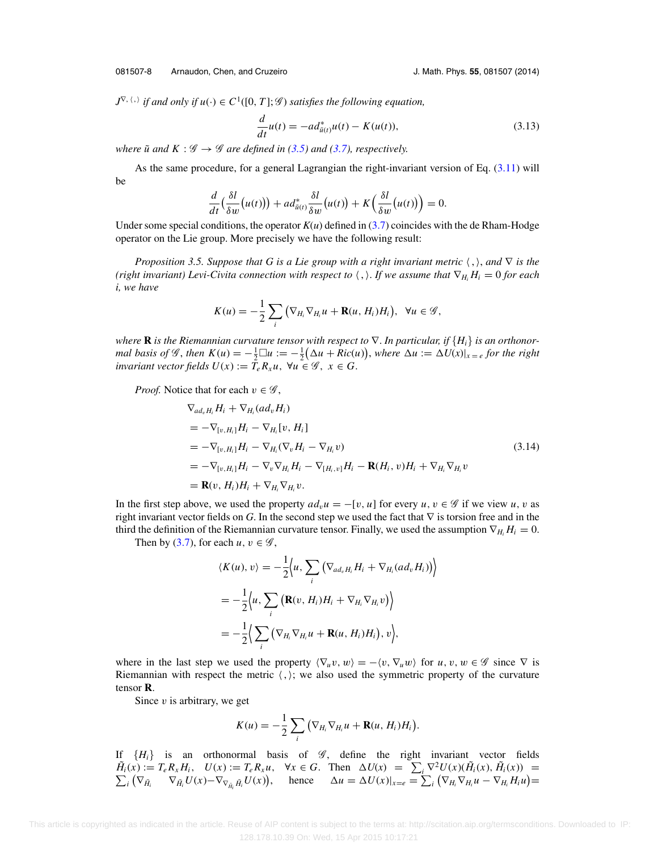<span id="page-8-0"></span>081507-8 Arnaudon, Chen, and Cruzeiro J. Math. Phys. **55**, 081507 (2014)

 $J^{\nabla, \langle , \rangle}$  if and only if  $u(\cdot) \in C^1([0, T]; \mathscr{G})$  satisfies the following equation,

$$
\frac{d}{dt}u(t) = -ad_{\tilde{u}(t)}^*u(t) - K(u(t)),
$$
\n(3.13)

*where*  $\tilde{u}$  *and*  $K : \mathcal{G} \rightarrow \mathcal{G}$  *are defined in* [\(3.5\)](#page-5-0) *and* [\(3.7\)](#page-5-0)*, respectively.* 

As the same procedure, for a general Lagrangian the right-invariant version of Eq. [\(3.11\)](#page-7-0) will be

$$
\frac{d}{dt}\left(\frac{\delta l}{\delta w}(u(t))\right) + ad_{\tilde{u}(t)}^* \frac{\delta l}{\delta w}(u(t)) + K\left(\frac{\delta l}{\delta w}(u(t))\right) = 0.
$$

Under some special conditions, the operator  $K(u)$  defined in [\(3.7\)](#page-5-0) coincides with the de Rham-Hodge operator on the Lie group. More precisely we have the following result:

*Proposition 3.5. Suppose that G is a Lie group with a right invariant metric*  $\langle , \rangle$ , and ∇ *is the (right invariant) Levi-Civita connection with respect to*  $\langle , \rangle$ . If we assume that  $\nabla_{H_i} H_i = 0$  for each *i, we have*

$$
K(u)=-\frac{1}{2}\sum_{i}\left(\nabla_{H_{i}}\nabla_{H_{i}}u+\mathbf{R}(u,H_{i})H_{i}\right),\ \forall u\in\mathscr{G},
$$

*where* **R** is the Riemannian curvature tensor with respect to  $\nabla$ . In particular, if  $\{H_i\}$  is an orthonor*mal basis of*  $\mathscr G$ , *then*  $K(u) = -\frac{1}{2}\Box u := -\frac{1}{2}(\Delta u + Ric(u))$ , *where*  $\Delta u := \Delta U(x)|_{x=e}$  *for the right invariant vector fields*  $U(x) := \overline{T}_e R_x u$ ,  $\forall u \in \mathcal{G}$ ,  $x \in G$ .

*Proof.* Notice that for each  $v \in \mathscr{G}$ ,

$$
\nabla_{ad_{v}H_{i}} H_{i} + \nabla_{H_{i}} (ad_{v} H_{i})
$$
\n
$$
= -\nabla_{[v,H_{i}]} H_{i} - \nabla_{H_{i}} [v, H_{i}]
$$
\n
$$
= -\nabla_{[v,H_{i}]} H_{i} - \nabla_{H_{i}} (\nabla_{v} H_{i} - \nabla_{H_{i}} v)
$$
\n
$$
= -\nabla_{[v,H_{i}]} H_{i} - \nabla_{v} \nabla_{H_{i}} H_{i} - \nabla_{[H_{i},v]} H_{i} - \mathbf{R}(H_{i}, v) H_{i} + \nabla_{H_{i}} \nabla_{H_{i}} v
$$
\n
$$
= \mathbf{R}(v, H_{i}) H_{i} + \nabla_{H_{i}} \nabla_{H_{i}} v.
$$
\n(3.14)

In the first step above, we used the property  $ad<sub>v</sub>u = -[v, u]$  for every  $u, v \in \mathscr{G}$  if we view  $u, v$  as right invariant vector fields on *G*. In the second step we used the fact that ∇ is torsion free and in the third the definition of the Riemannian curvature tensor. Finally, we used the assumption  $\nabla_{H_i} H_i = 0$ .

Then by [\(3.7\)](#page-5-0), for each  $u, v \in \mathscr{G}$ ,

$$
\langle K(u), v \rangle = -\frac{1}{2} \Big\langle u, \sum_{i} \big( \nabla_{ad_{v}H_{i}} H_{i} + \nabla_{H_{i}} (ad_{v} H_{i}) \big) \Big\rangle
$$
  
=  $-\frac{1}{2} \Big\langle u, \sum_{i} \big( \mathbf{R}(v, H_{i}) H_{i} + \nabla_{H_{i}} \nabla_{H_{i}} v \big) \Big\rangle$   
=  $-\frac{1}{2} \Big\langle \sum_{i} \big( \nabla_{H_{i}} \nabla_{H_{i}} u + \mathbf{R}(u, H_{i}) H_{i} \big), v \Big\rangle,$ 

where in the last step we used the property  $\langle \nabla_u v, w \rangle = -\langle v, \nabla_u w \rangle$  for  $u, v, w \in \mathscr{G}$  since  $\nabla$  is Riemannian with respect the metric  $\langle , \rangle$ ; we also used the symmetric property of the curvature tensor **R**.

Since  $v$  is arbitrary, we get

$$
K(u)=-\frac{1}{2}\sum_i(\nabla_{H_i}\nabla_{H_i}u+\mathbf{R}(u,H_i)H_i).
$$

If  ${H<sub>i</sub>}$  is an orthonormal basis of  $\mathscr G$ , define the right invariant vector fields  $\tilde{H}_i(x) := T_e R_x H_i$ ,  $U(x) := T_e R_x u$ ,  $\forall x \in G$ . Then  $\Delta U(x) = \sum_i \nabla^2 U(x) (\tilde{H}_i(x), \tilde{H}_i(x)) =$ <br> $\sum_i (\nabla_{\tilde{H}_i} \nabla_{\tilde{H}_i} U(x) - \nabla_{\nabla_{\tilde{H}_i} \tilde{H}_i} U(x))$ , hence  $\Delta u = \Delta U(x)|_{x=e} = \sum_i (\nabla_{H_i} \nabla_{H_i} u - \nabla_{H_i} H_i u) =$  $\mathcal{L}_i(\nabla_{\tilde{H}_i} \quad \nabla_{\tilde{H}_i} U(x) - \nabla_{\nabla_{\tilde{H}_i} \tilde{H}_i} U(x)),$  hence  $\Delta u = \Delta U(x)|_{x=e} = \sum_i (\nabla_{H_i} \nabla_{H_i} u - \nabla_{H_i} H_i u) =$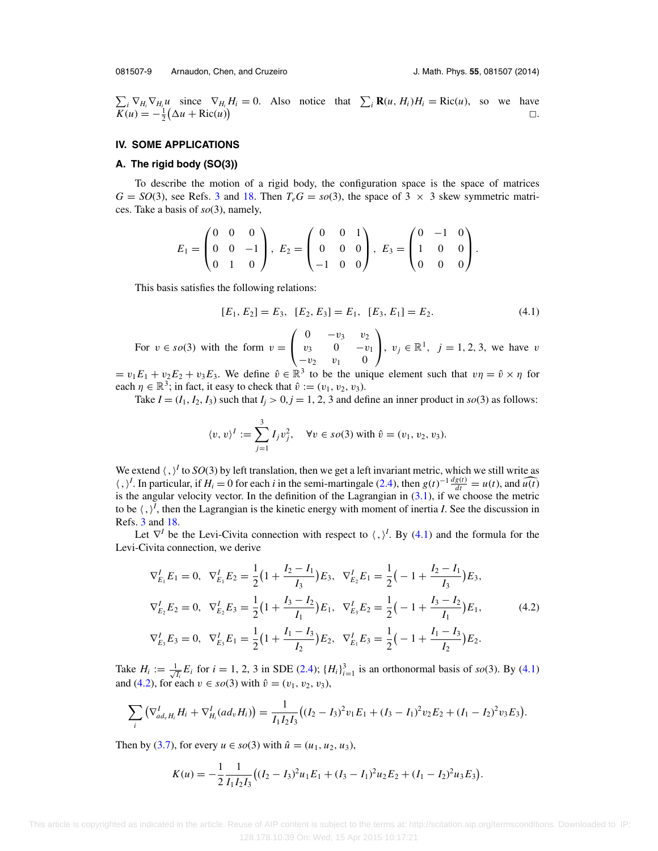<span id="page-9-0"></span> $\sum_i \nabla_{H_i} \nabla_{H_i} u$  since  $\nabla_{H_i} H_i = 0$ . Also notice that  $\sum_i \mathbf{R}(u, H_i) H_i = \text{Ric}(u)$ , so we have  $\overline{K}(u) = -\frac{1}{2}(\Delta u + \text{Ric}(u))$  $\Box$ )  $\Box$ .

### **IV. SOME APPLICATIONS**

# **A. The rigid body (SO(3))**

To describe the motion of a rigid body, the configuration space is the space of matrices  $G = SO(3)$  $G = SO(3)$  $G = SO(3)$ , see Refs. 3 and [18.](#page-17-0) Then  $T_eG = so(3)$ , the space of 3  $\times$  3 skew symmetric matrices. Take a basis of *so*(3), namely,

$$
E_1 = \begin{pmatrix} 0 & 0 & 0 \\ 0 & 0 & -1 \\ 0 & 1 & 0 \end{pmatrix}, E_2 = \begin{pmatrix} 0 & 0 & 1 \\ 0 & 0 & 0 \\ -1 & 0 & 0 \end{pmatrix}, E_3 = \begin{pmatrix} 0 & -1 & 0 \\ 1 & 0 & 0 \\ 0 & 0 & 0 \end{pmatrix}.
$$

This basis satisfies the following relations:

$$
[E_1, E_2] = E_3, [E_2, E_3] = E_1, [E_3, E_1] = E_2.
$$
\n
$$
(4.1)
$$

For  $v \in so(3)$  with the form  $v =$  $\sqrt{2}$  $\mathbf{I}$ 0  $-v_3$   $v_2$  $v_3$  0  $-v_1$  $-v_2$   $v_1$  0 ⎞ **,**  $v_j \in \mathbb{R}^1$ , *j* = 1, 2, 3, we have *v* 

 $= v_1 E_1 + v_2 E_2 + v_3 E_3$ . We define  $\hat{v} \in \mathbb{R}^3$  to be the unique element such that  $v\eta = \hat{v} \times \eta$  for each  $\eta \in \mathbb{R}^3$ ; in fact, it easy to check that  $\hat{v} := (v_1, v_2, v_3)$ .

Take  $I = (I_1, I_2, I_3)$  such that  $I_j > 0, j = 1, 2, 3$  and define an inner product in *so*(3) as follows:

$$
\langle v, v \rangle^I := \sum_{j=1}^3 I_j v_j^2, \quad \forall v \in so(3) \text{ with } \hat{v} = (v_1, v_2, v_3).
$$

We extend  $\langle , \rangle^I$  to  $SO(3)$  by left translation, then we get a left invariant metric, which we still write as  $\langle , \rangle^I$ . In particular, if *H<sub>i</sub>* = 0 for each *i* in the semi-martingale [\(2.4\)](#page-3-0), then  $g(t)^{-1} \frac{dg(t)}{dt} = u(t)$ , and  $\widehat{u(t)}$ is the angular velocity vector. In the definition of the Lagrangian in  $(3.1)$ , if we choose the metric to be  $\langle , \rangle^I$ , then the Lagrangian is the kinetic energy with moment of inertia *I*. See the discussion in Refs. [3](#page-16-0) and [18.](#page-17-0)

Let  $\nabla^I$  be the Levi-Civita connection with respect to  $\langle , \rangle^I$ . By (4.1) and the formula for the Levi-Civita connection, we derive

$$
\nabla_{E_1}^I E_1 = 0, \quad \nabla_{E_1}^I E_2 = \frac{1}{2} \left( 1 + \frac{I_2 - I_1}{I_3} \right) E_3, \quad \nabla_{E_2}^I E_1 = \frac{1}{2} \left( -1 + \frac{I_2 - I_1}{I_3} \right) E_3,
$$
\n
$$
\nabla_{E_2}^I E_2 = 0, \quad \nabla_{E_2}^I E_3 = \frac{1}{2} \left( 1 + \frac{I_3 - I_2}{I_1} \right) E_1, \quad \nabla_{E_3}^I E_2 = \frac{1}{2} \left( -1 + \frac{I_3 - I_2}{I_1} \right) E_1,
$$
\n
$$
\nabla_{E_3}^I E_3 = 0, \quad \nabla_{E_3}^I E_1 = \frac{1}{2} \left( 1 + \frac{I_1 - I_3}{I_2} \right) E_2, \quad \nabla_{E_1}^I E_3 = \frac{1}{2} \left( -1 + \frac{I_1 - I_3}{I_2} \right) E_2.
$$
\n(4.2)

Take  $H_i := \frac{1}{\sqrt{2}}$  $\frac{1}{I_i}E_i$  for  $i = 1, 2, 3$  in SDE [\(2.4\)](#page-3-0);  $\{H_i\}_{i=1}^3$  is an orthonormal basis of *so*(3). By (4.1) and (4.2), for each  $v \in s\text{o}(3)$  with  $\hat{v} = (v_1, v_2, v_3)$ ,

$$
\sum_i \left( \nabla^I_{ad_v H_i} H_i + \nabla^I_{H_i} (ad_v H_i) \right) = \frac{1}{I_1 I_2 I_3} \left( (I_2 - I_3)^2 v_1 E_1 + (I_3 - I_1)^2 v_2 E_2 + (I_1 - I_2)^2 v_3 E_3 \right).
$$

Then by [\(3.7\)](#page-5-0), for every  $u \in s_0(3)$  with  $\hat{u} = (u_1, u_2, u_3)$ ,

$$
K(u) = -\frac{1}{2} \frac{1}{I_1 I_2 I_3} \big( (I_2 - I_3)^2 u_1 E_1 + (I_3 - I_1)^2 u_2 E_2 + (I_1 - I_2)^2 u_3 E_3 \big).
$$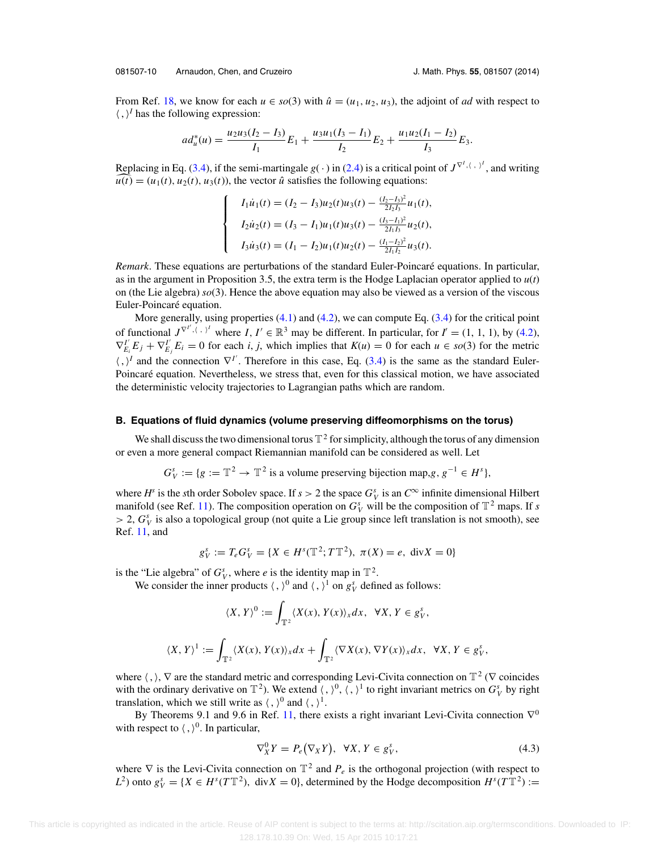<span id="page-10-0"></span>081507-10 Arnaudon, Chen, and Cruzeiro J. Math. Phys. **55**, 081507 (2014)

 $\sqrt{ }$  $\sqrt{ }$ 

 $\overline{\mathcal{L}}$ 

From Ref. [18,](#page-17-0) we know for each  $u \in so(3)$  with  $\hat{u} = (u_1, u_2, u_3)$ , the adjoint of *ad* with respect to  $\langle , \rangle^I$  has the following expression:

$$
ad_u^*(u) = \frac{u_2u_3(I_2 - I_3)}{I_1}E_1 + \frac{u_3u_1(I_3 - I_1)}{I_2}E_2 + \frac{u_1u_2(I_1 - I_2)}{I_3}E_3.
$$

Replacing in Eq. [\(3.4\)](#page-5-0), if the semi-martingale  $g(\cdot)$  in [\(2.4\)](#page-3-0) is a critical point of  $J^{\nabla^{I}(\cdot)}$ , and writing  $\widehat{u(t)} = (u_1(t), u_2(t), u_3(t))$ , the vector  $\hat{u}$  satisfies the following equations:

$$
I_1 \dot{u}_1(t) = (I_2 - I_3)u_2(t)u_3(t) - \frac{(I_2 - I_3)^2}{2I_2I_3}u_1(t),
$$
  
\n
$$
I_2 \dot{u}_2(t) = (I_3 - I_1)u_1(t)u_3(t) - \frac{(I_3 - I_1)^2}{2I_1I_3}u_2(t),
$$
  
\n
$$
I_3 \dot{u}_3(t) = (I_1 - I_2)u_1(t)u_2(t) - \frac{(I_1 - I_2)^2}{2I_1I_2}u_3(t).
$$

*Remark*. These equations are perturbations of the standard Euler-Poincaré equations. In particular, as in the argument in Proposition 3.5, the extra term is the Hodge Laplacian operator applied to *u*(*t*) on (the Lie algebra) *so*(3). Hence the above equation may also be viewed as a version of the viscous Euler-Poincaré equation.

More generally, using properties [\(4.1\)](#page-9-0) and [\(4.2\)](#page-9-0), we can compute Eq. [\(3.4\)](#page-5-0) for the critical point of functional  $J^{\nabla^{I'}, \langle , \rangle^I}$  where  $I, I' \in \mathbb{R}^3$  may be different. In particular, for  $I' = (1, 1, 1)$ , by [\(4.2\)](#page-9-0),  $\nabla_{E_i}^T E_j + \nabla_{E_j}^T E_i = 0$  for each *i*, *j*, which implies that  $K(u) = 0$  for each  $u \in so(3)$  for the metric  $\langle , \rangle^I$  and the connection  $\nabla^{I'}$ . Therefore in this case, Eq. [\(3.4\)](#page-5-0) is the same as the standard Euler-Poincaré equation. Nevertheless, we stress that, even for this classical motion, we have associated the deterministic velocity trajectories to Lagrangian paths which are random.

#### **B. Equations of fluid dynamics (volume preserving diffeomorphisms on the torus)**

We shall discuss the two dimensional torus  $\mathbb{T}^2$  for simplicity, although the torus of any dimension or even a more general compact Riemannian manifold can be considered as well. Let

$$
G_V^s := \{ g := \mathbb{T}^2 \to \mathbb{T}^2 \text{ is a volume preserving bijection map, } g, g^{-1} \in H^s \},
$$

where  $H^s$  is the *s*th order Sobolev space. If  $s > 2$  the space  $G^s_V$  is an  $C^\infty$  infinite dimensional Hilbert manifold (see Ref. [11\)](#page-16-0). The composition operation on  $G_V^s$  will be the composition of  $\mathbb{T}^2$  maps. If *s*  $> 2$ ,  $G_V^s$  is also a topological group (not quite a Lie group since left translation is not smooth), see Ref. [11,](#page-16-0) and

$$
g_V^s := T_e G_V^s = \{ X \in H^s(\mathbb{T}^2; T\mathbb{T}^2), \ \pi(X) = e, \ \text{div} X = 0 \}
$$

is the "Lie algebra" of  $G_V^s$ , where *e* is the identity map in  $\mathbb{T}^2$ .

We consider the inner products  $\langle , \rangle^0$  and  $\langle , \rangle^1$  on  $g_V^s$  defined as follows:

$$
\langle X, Y \rangle^0 := \int_{\mathbb{T}^2} \langle X(x), Y(x) \rangle_x dx, \ \ \forall X, Y \in g_Y^s,
$$
  

$$
\langle X, Y \rangle^1 := \int_{\mathbb{T}^2} \langle X(x), Y(x) \rangle_x dx + \int_{\mathbb{T}^2} \langle \nabla X(x), \nabla Y(x) \rangle_x dx, \ \ \forall X, Y \in g_Y^s,
$$

where  $\langle , \rangle$ ,  $\nabla$  are the standard metric and corresponding Levi-Civita connection on  $\mathbb{T}^2$  ( $\nabla$  coincides with the ordinary derivative on  $\mathbb{T}^2$ ). We extend  $\langle , \rangle^0$ ,  $\langle , \rangle^1$  to right invariant metrics on  $G_V^s$  by right translation, which we still write as  $\langle , \rangle^0$  and  $\langle , \rangle^1$ .

By Theorems 9.1 and 9.6 in Ref. [11,](#page-16-0) there exists a right invariant Levi-Civita connection  $\nabla^0$ with respect to  $\langle , \rangle^0$ . In particular,

$$
\nabla_X^0 Y = P_e(\nabla_X Y), \ \ \forall X, Y \in g_Y^s,
$$
\n
$$
(4.3)
$$

where  $\nabla$  is the Levi-Civita connection on  $\mathbb{T}^2$  and  $P_e$  is the orthogonal projection (with respect to *L*<sup>2</sup>) onto  $g_V^s = \{ X \in H^s(TT^2), \text{ div } X = 0 \}$ , determined by the Hodge decomposition  $H^s(TT^2) :=$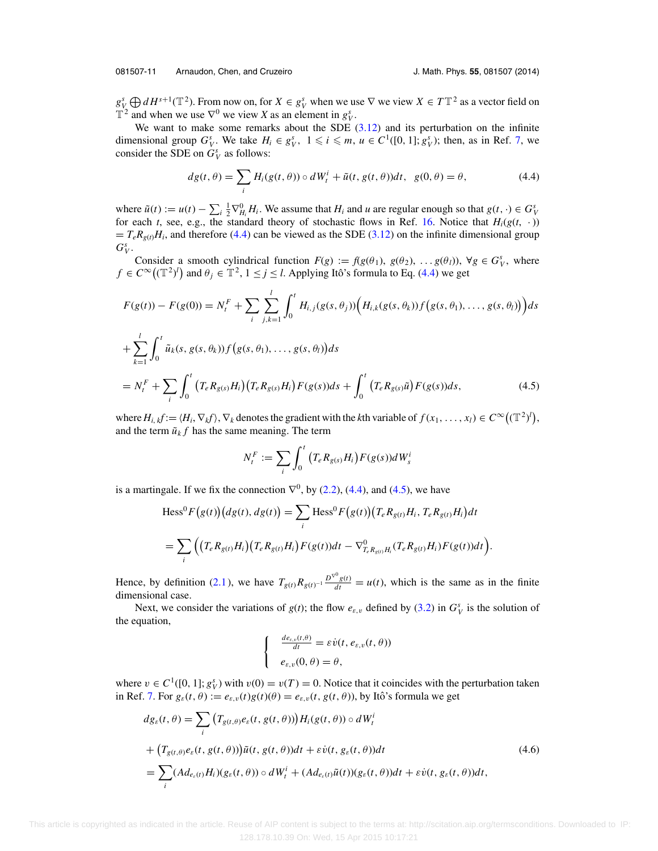<span id="page-11-0"></span> $g_Y^s \bigoplus dH^{s+1}(\mathbb{T}^2)$ . From now on, for  $X \in g_Y^s$  when we use  $\nabla$  we view  $X \in T\mathbb{T}^2$  as a vector field on  $\mathbb{T}^2$  and when we use  $\nabla^0$  we view *X* as an element in  $g_V^s$ .

We want to make some remarks about the SDE  $(3.12)$  and its perturbation on the infinite dimensional group  $G_V^s$ . We take  $H_i \in g_V^s$ ,  $1 \leq i \leq m$ ,  $u \in C^1([0, 1]; g_V^s)$ ; then, as in Ref. [7,](#page-16-0) we consider the SDE on  $G_V^s$  as follows:

$$
dg(t, \theta) = \sum_{i} H_i(g(t, \theta)) \circ dW_t^i + \tilde{u}(t, g(t, \theta))dt, \quad g(0, \theta) = \theta,
$$
\n(4.4)

where  $\tilde{u}(t) := u(t) - \sum_{i} \frac{1}{2} \nabla_{H_i}^0 H_i$ . We assume that  $H_i$  and *u* are regular enough so that  $g(t, \cdot) \in G_V^s$ for each *t*, see, e.g., the standard theory of stochastic flows in Ref. [16.](#page-17-0) Notice that  $H_i(g(t, \cdot))$  $= T_e R_{g(t)} H_i$ , and therefore (4.4) can be viewed as the SDE [\(3.12\)](#page-7-0) on the infinite dimensional group  $G_V^s$ .

Consider a smooth cylindrical function  $F(g) := f(g(\theta_1), g(\theta_2), \ldots, g(\theta_l))$ ,  $\forall g \in G_V^s$ , where  $f \in C^{\infty}((\mathbb{T}^2)^l)$  and  $\theta_j \in \mathbb{T}^2$ ,  $1 \leq j \leq l$ . Applying Itô's formula to Eq. (4.4) we get

$$
F(g(t)) - F(g(0)) = N_t^F + \sum_{i} \sum_{j,k=1}^l \int_0^t H_{i,j}(g(s,\theta_j)) \Big( H_{i,k}(g(s,\theta_k)) f(g(s,\theta_1), \dots, g(s,\theta_l)) \Big) ds
$$
  
+ 
$$
\sum_{k=1}^l \int_0^t \tilde{u}_k(s, g(s, \theta_k)) f(g(s, \theta_1), \dots, g(s, \theta_l)) ds
$$
  
= 
$$
N_t^F + \sum_{i} \int_0^t \big( T_e R_{g(s)} H_i \big) \big( T_e R_{g(s)} H_i \big) F(g(s)) ds + \int_0^t \big( T_e R_{g(s)} \tilde{u} \big) F(g(s)) ds,
$$
 (4.5)

where  $H_{i,k}f := \langle H_i, \nabla_k f \rangle$ ,  $\nabla_k$  denotes the gradient with the *k*th variable of  $f(x_1,\ldots,x_l) \in C^\infty((\mathbb{T}^2)^l)$ , and the term  $\tilde{u}_k f$  has the same meaning. The term

$$
N_t^F := \sum_i \int_0^t \left( T_e R_{g(s)} H_i \right) F(g(s)) dW_s^i
$$

is a martingale. If we fix the connection  $\nabla^0$ , by [\(2.2\)](#page-2-0), (4.4), and (4.5), we have

$$
\begin{aligned} \text{Hess}^{0} F(g(t)) \big( dg(t), dg(t) \big) &= \sum_{i} \text{Hess}^{0} F(g(t)) \big( T_{e} R_{g(t)} H_{i}, T_{e} R_{g(t)} H_{i} \big) dt \\ &= \sum_{i} \Big( \big( T_{e} R_{g(t)} H_{i} \big) \big( T_{e} R_{g(t)} H_{i} \big) F(g(t)) dt - \nabla_{T_{e} R_{g(t)} H_{i}}^{0} \big( T_{e} R_{g(t)} H_{i} \big) F(g(t)) dt \Big). \end{aligned}
$$

Hence, by definition [\(2.1\)](#page-2-0), we have  $T_{g(t)}R_{g(t)^{-1}}\frac{D^{\nabla^0}g(t)}{dt} = u(t)$ , which is the same as in the finite dimensional case.

Next, we consider the variations of  $g(t)$ ; the flow  $e_{\varepsilon, v}$  defined by [\(3.2\)](#page-4-0) in  $G_V^s$  is the solution of the equation,

$$
\begin{cases}\n\frac{d e_{\varepsilon,\nu}(t,\theta)}{dt} = \varepsilon \dot{v}(t, e_{\varepsilon,\nu}(t,\theta)) \\
e_{\varepsilon,\nu}(0,\theta) = \theta,\n\end{cases}
$$

where  $v \in C^1([0, 1]; g_V^s)$  with  $v(0) = v(T) = 0$ . Notice that it coincides with the perturbation taken in Ref. [7.](#page-16-0) For  $g_{\varepsilon}(t,\theta) := e_{\varepsilon,\nu}(t)g(t)(\theta) = e_{\varepsilon,\nu}(t,g(t,\theta))$ , by Itô's formula we get

$$
dg_{\varepsilon}(t,\theta) = \sum_{i} \left( T_{g(t,\theta)} e_{\varepsilon}(t, g(t,\theta)) \right) H_i(g(t,\theta)) \circ dW_t^i
$$
  
+ 
$$
\left( T_{g(t,\theta)} e_{\varepsilon}(t, g(t,\theta)) \right) \tilde{u}(t, g(t,\theta)) dt + \varepsilon \dot{v}(t, g_{\varepsilon}(t,\theta)) dt
$$
  
= 
$$
\sum_{i} (Ad_{e_{\varepsilon}(t)} H_i)(g_{\varepsilon}(t,\theta)) \circ dW_t^i + (Ad_{e_{\varepsilon}(t)} \tilde{u}(t))(g_{\varepsilon}(t,\theta)) dt + \varepsilon \dot{v}(t, g_{\varepsilon}(t,\theta)) dt,
$$
 (4.6)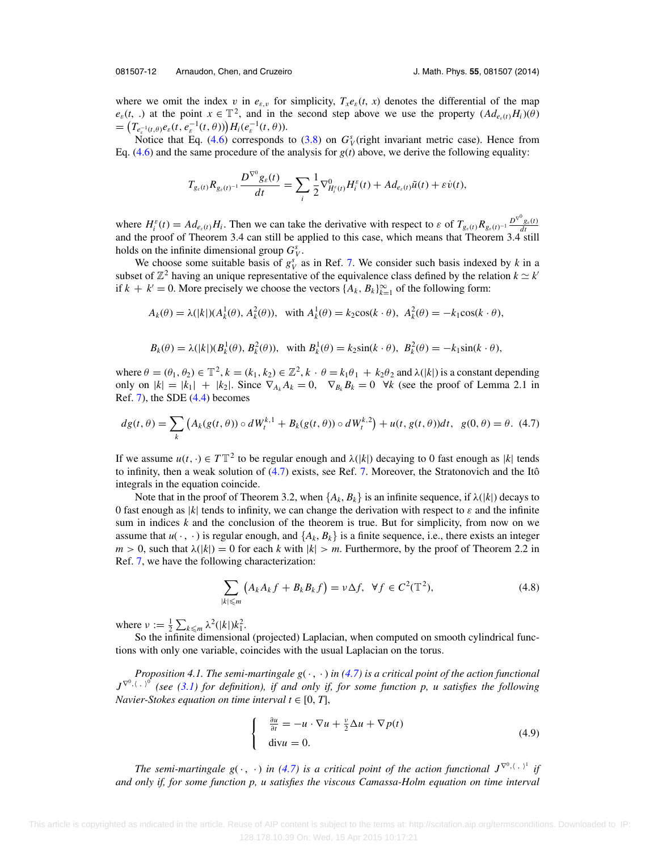<span id="page-12-0"></span>where we omit the index v in  $e_{\varepsilon, v}$  for simplicity,  $T_{x}e_{\varepsilon}(t, x)$  denotes the differential of the map  $e_{\varepsilon}(t, \cdot)$  at the point  $x \in \mathbb{T}^2$ , and in the second step above we use the property  $(Ad_{e_{\varepsilon}(t)}H_i)(\theta)$  $=\left(T_{e_{\varepsilon}^{-1}(t,\theta)}e_{\varepsilon}(t,e_{\varepsilon}^{-1}(t,\theta))\right)H_i(e_{\varepsilon}^{-1}(t,\theta)).$ 

Notice that Eq.  $(4.6)$  corresponds to  $(3.8)$  on  $G<sub>V</sub><sup>s</sup>$  (right invariant metric case). Hence from Eq.  $(4.6)$  and the same procedure of the analysis for  $g(t)$  above, we derive the following equality:

$$
T_{g_{\varepsilon}(t)}R_{g_{\varepsilon}(t)^{-1}}\frac{D^{\nabla^{0}}g_{\varepsilon}(t)}{dt}=\sum_{i}\frac{1}{2}\nabla^{0}_{H_{i}^{\varepsilon}(t)}H_{i}^{\varepsilon}(t)+Ad_{e_{\varepsilon}(t)}\tilde{u}(t)+\varepsilon\dot{v}(t),
$$

where  $H_i^{\varepsilon}(t) = Ad_{e_{\varepsilon}(t)}H_i$ . Then we can take the derivative with respect to  $\varepsilon$  of  $T_{g_{\varepsilon}(t)}R_{g_{\varepsilon}(t)^{-1}}\frac{D^{\nabla^0}g_{\varepsilon}(t)}{dt}$ and the proof of Theorem 3.4 can still be applied to this case, which means that Theorem 3.4 still holds on the infinite dimensional group  $G_V^s$ .

We choose some suitable basis of  $g_V^s$  as in Ref. [7.](#page-16-0) We consider such basis indexed by *k* in a subset of  $\mathbb{Z}^2$  having an unique representative of the equivalence class defined by the relation  $k \simeq k'$ if  $k + k' = 0$ . More precisely we choose the vectors  $\{A_k, B_k\}_{k=1}^{\infty}$  of the following form:

$$
A_k(\theta) = \lambda(|k|)(A_k^1(\theta), A_k^2(\theta)), \text{ with } A_k^1(\theta) = k_2 \cos(k \cdot \theta), A_k^2(\theta) = -k_1 \cos(k \cdot \theta),
$$

$$
B_k(\theta) = \lambda(|k|)(B_k^1(\theta), B_k^2(\theta)), \text{ with } B_k^1(\theta) = k_2 \sin(k \cdot \theta), B_k^2(\theta) = -k_1 \sin(k \cdot \theta),
$$

where  $\theta = (\theta_1, \theta_2) \in \mathbb{T}^2$ ,  $k = (k_1, k_2) \in \mathbb{Z}^2$ ,  $k \cdot \theta = k_1 \theta_1 + k_2 \theta_2$  and  $\lambda(|k|)$  is a constant depending only on  $|k| = |k_1| + |k_2|$ . Since  $\nabla_{A_k} A_k = 0$ ,  $\nabla_{B_k} B_k = 0$   $\nforall k$  (see the proof of Lemma 2.1 in Ref. [7\)](#page-16-0), the SDE [\(4.4\)](#page-11-0) becomes

$$
dg(t, \theta) = \sum_{k} \left( A_k(g(t, \theta)) \circ dW_t^{k,1} + B_k(g(t, \theta)) \circ dW_t^{k,2} \right) + u(t, g(t, \theta))dt, \ g(0, \theta) = \theta. \tag{4.7}
$$

If we assume  $u(t, \cdot) \in T\mathbb{T}^2$  to be regular enough and  $\lambda(|k|)$  decaying to 0 fast enough as |*k*| tends to infinity, then a weak solution of  $(4.7)$  exists, see Ref. [7.](#page-16-0) Moreover, the Stratonovich and the Itô integrals in the equation coincide.

Note that in the proof of Theorem 3.2, when  ${A_k, B_k}$  is an infinite sequence, if  $\lambda(|k|)$  decays to 0 fast enough as  $|k|$  tends to infinity, we can change the derivation with respect to  $\varepsilon$  and the infinite sum in indices *k* and the conclusion of the theorem is true. But for simplicity, from now on we assume that  $u(\cdot, \cdot)$  is regular enough, and  $\{A_k, B_k\}$  is a finite sequence, i.e., there exists an integer  $m > 0$ , such that  $\lambda(|k|) = 0$  for each k with  $|k| > m$ . Furthermore, by the proof of Theorem 2.2 in Ref. [7,](#page-16-0) we have the following characterization:

$$
\sum_{|k| \leqslant m} \left( A_k A_k f + B_k B_k f \right) = \nu \Delta f, \ \ \forall f \in C^2(\mathbb{T}^2), \tag{4.8}
$$

where  $\nu := \frac{1}{2} \sum_{k \leq m} \lambda^2(|k|)k_1^2$ .

So the infinite dimensional (projected) Laplacian, when computed on smooth cylindrical functions with only one variable, coincides with the usual Laplacian on the torus.

*Proposition 4.1. The semi-martingale*  $g(\cdot, \cdot)$  *in (4.7) is a critical point of the action functional J*<sup> $∇⁰,$ (, )<sup>0</sup> (see [\(3.1\)](#page-4-0) for definition), if and only if, for some function p, u satisfies the following</sup> *Navier-Stokes equation on time interval*  $t \in [0, T]$ ,

$$
\begin{cases}\n\frac{\partial u}{\partial t} = -u \cdot \nabla u + \frac{v}{2} \Delta u + \nabla p(t) \\
\text{div} u = 0.\n\end{cases}
$$
\n(4.9)

*The semi-martingale g*( $\cdot$ ,  $\cdot$ ) *in* (4.7) *is a critical point of the action functional*  $J^{\nabla^0,\langle\cdot,\cdot\rangle^1}$  *if and only if, for some function p, u satisfies the viscous Camassa-Holm equation on time interval*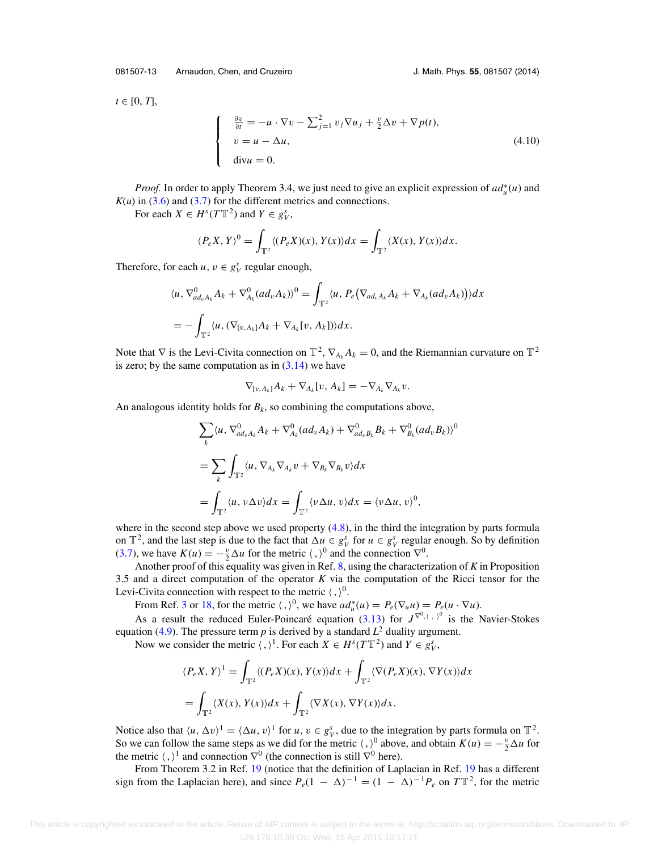<span id="page-13-0"></span>081507-13 Arnaudon, Chen, and Cruzeiro J. Math. Phys. **55**, 081507 (2014)

 $t \in [0, T],$ 

$$
\begin{cases}\n\frac{\partial v}{\partial t} = -u \cdot \nabla v - \sum_{j=1}^{2} v_j \nabla u_j + \frac{v}{2} \Delta v + \nabla p(t), \\
v = u - \Delta u, \\
\text{div} u = 0.\n\end{cases}
$$
\n(4.10)

*Proof.* In order to apply Theorem 3.4, we just need to give an explicit expression of  $ad<sub>u</sub><sup>*</sup>(u)$  and  $K(u)$  in [\(3.6\)](#page-5-0) and [\(3.7\)](#page-5-0) for the different metrics and connections.

For each  $X \in H^s(TT^2)$  and  $Y \in g^s_V$ ,

$$
\langle P_e X, Y \rangle^0 = \int_{\mathbb{T}^2} \langle (P_e X)(x), Y(x) \rangle dx = \int_{\mathbb{T}^2} \langle X(x), Y(x) \rangle dx.
$$

Therefore, for each  $u, v \in g_V^s$  regular enough,

$$
\langle u, \nabla^0_{ad_v A_k} A_k + \nabla^0_{A_k} (ad_v A_k) \rangle^0 = \int_{\mathbb{T}^2} \langle u, P_e (\nabla_{ad_v A_k} A_k + \nabla_{A_k} (ad_v A_k)) \rangle dx
$$
  
= 
$$
- \int_{\mathbb{T}^2} \langle u, (\nabla_{[v, A_k]} A_k + \nabla_{A_k} [v, A_k]) \rangle dx.
$$

Note that  $\nabla$  is the Levi-Civita connection on  $\mathbb{T}^2$ ,  $\nabla_{A_k} A_k = 0$ , and the Riemannian curvature on  $\mathbb{T}^2$ is zero; by the same computation as in  $(3.14)$  we have

$$
\nabla_{[v,A_k]}A_k+\nabla_{A_k}[v,A_k]=-\nabla_{A_k}\nabla_{A_k}v.
$$

An analogous identity holds for  $B_k$ , so combining the computations above,

$$
\sum_{k} \langle u, \nabla_{ad_{v}A_{k}}^{0} A_{k} + \nabla_{A_{k}}^{0} (ad_{v} A_{k}) + \nabla_{ad_{v}B_{k}}^{0} B_{k} + \nabla_{B_{k}}^{0} (ad_{v} B_{k}) \rangle^{0}
$$
  
= 
$$
\sum_{k} \int_{\mathbb{T}^{2}} \langle u, \nabla_{A_{k}} \nabla_{A_{k}} v + \nabla_{B_{k}} \nabla_{B_{k}} v \rangle dx
$$
  
= 
$$
\int_{\mathbb{T}^{2}} \langle u, v \Delta v \rangle dx = \int_{\mathbb{T}^{2}} \langle v \Delta u, v \rangle dx = \langle v \Delta u, v \rangle^{0},
$$

where in the second step above we used property  $(4.8)$ , in the third the integration by parts formula on  $\mathbb{T}^2$ , and the last step is due to the fact that  $\Delta u \in g_V^s$  for  $u \in g_V^s$  regular enough. So by definition [\(3.7\)](#page-5-0), we have  $K(u) = -\frac{v}{2}\Delta u$  for the metric  $\langle , \rangle^0$  and the connection  $\nabla^0$ .

Another proof of this equality was given in Ref. [8,](#page-16-0) using the characterization of *K* in Proposition 3.5 and a direct computation of the operator *K* via the computation of the Ricci tensor for the Levi-Civita connection with respect to the metric  $\langle , \rangle^0$ .

From Ref. [3](#page-16-0) or [18,](#page-17-0) for the metric  $\langle , \rangle^0$ , we have  $ad_u^*(u) = P_e(\nabla_u u) = P_e(u \cdot \nabla u)$ .

As a result the reduced Euler-Poincaré equation ([3.13\)](#page-8-0) for  $J^{\nabla^0, \langle , \rangle^0}$  is the Navier-Stokes equation [\(4.9\)](#page-12-0). The pressure term  $p$  is derived by a standard  $L^2$  duality argument.

Now we consider the metric  $\langle , \rangle^1$ . For each  $X \in H^s(T\mathbb{T}^2)$  and  $Y \in g^s_V$ ,

$$
\langle P_e X, Y \rangle^1 = \int_{\mathbb{T}^2} \langle (P_e X)(x), Y(x) \rangle dx + \int_{\mathbb{T}^2} \langle \nabla (P_e X)(x), \nabla Y(x) \rangle dx
$$
  
= 
$$
\int_{\mathbb{T}^2} \langle X(x), Y(x) \rangle dx + \int_{\mathbb{T}^2} \langle \nabla X(x), \nabla Y(x) \rangle dx.
$$

Notice also that  $\langle u, \Delta v \rangle^1 = \langle \Delta u, v \rangle^1$  for  $u, v \in g_V^s$ , due to the integration by parts formula on  $\mathbb{T}^2$ . So we can follow the same steps as we did for the metric  $\langle , \rangle^0$  above, and obtain  $K(u) = -\frac{v}{2}\Delta u$  for the metric  $\langle , \rangle^1$  and connection  $\nabla^0$  (the connection is still  $\nabla^0$  here).

From Theorem 3.2 in Ref. [19](#page-17-0) (notice that the definition of Laplacian in Ref. [19](#page-17-0) has a different sign from the Laplacian here), and since  $P_e(1 - \Delta)^{-1} = (1 - \Delta)^{-1}P_e$  on  $T\mathbb{T}^2$ , for the metric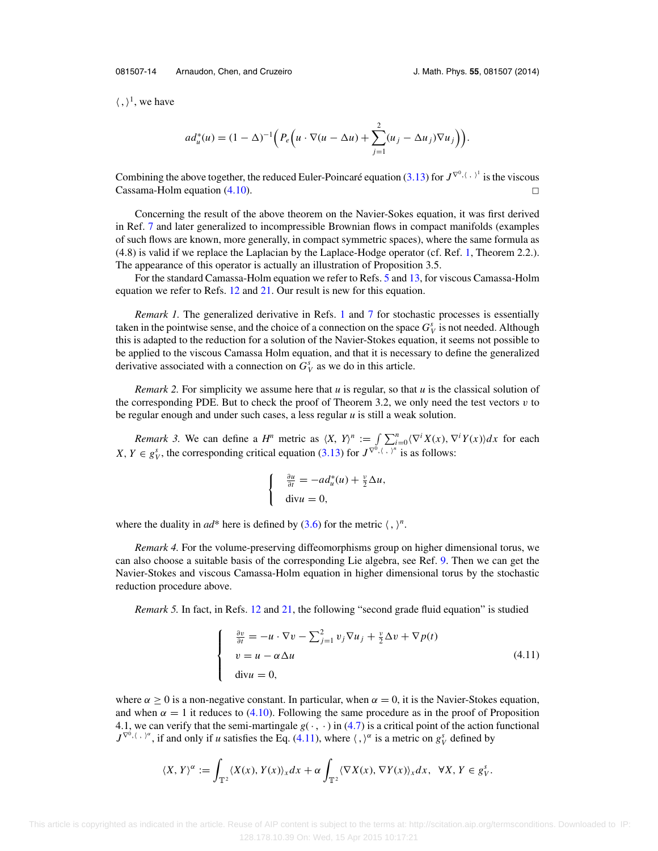081507-14 Arnaudon, Chen, and Cruzeiro J. Math. Phys. **55**, 081507 (2014)

 $\langle , \rangle^1$ , we have

$$
ad_u^*(u) = (1 - \Delta)^{-1} \Big( P_e \Big( u \cdot \nabla (u - \Delta u) + \sum_{j=1}^2 (u_j - \Delta u_j) \nabla u_j \Big) \Big).
$$

Combining the above together, the reduced Euler-Poincaré equation ([3.13\)](#page-8-0) for  $J^{\nabla^0, \langle , \rangle^1}$  is the viscous  $\Box$  Cassama-Holm equation [\(4.10\)](#page-13-0).  $\Box$ 

Concerning the result of the above theorem on the Navier-Sokes equation, it was first derived in Ref. [7](#page-16-0) and later generalized to incompressible Brownian flows in compact manifolds (examples of such flows are known, more generally, in compact symmetric spaces), where the same formula as (4.8) is valid if we replace the Laplacian by the Laplace-Hodge operator (cf. Ref. [1,](#page-16-0) Theorem 2.2.). The appearance of this operator is actually an illustration of Proposition 3.5.

For the standard Camassa-Holm equation we refer to Refs. [5](#page-16-0) and [13,](#page-17-0) for viscous Camassa-Holm equation we refer to Refs. [12](#page-16-0) and [21.](#page-17-0) Our result is new for this equation.

*Remark [1](#page-16-0).* The generalized derivative in Refs. 1 and [7](#page-16-0) for stochastic processes is essentially taken in the pointwise sense, and the choice of a connection on the space  $G_V^s$  is not needed. Although this is adapted to the reduction for a solution of the Navier-Stokes equation, it seems not possible to be applied to the viscous Camassa Holm equation, and that it is necessary to define the generalized derivative associated with a connection on  $G_V^s$  as we do in this article.

*Remark 2.* For simplicity we assume here that *u* is regular, so that *u* is the classical solution of the corresponding PDE. But to check the proof of Theorem 3.2, we only need the test vectors  $v$  to be regular enough and under such cases, a less regular *u* is still a weak solution.

*Remark 3.* We can define a *H<sup>n</sup>* metric as  $\langle X, Y \rangle^n := \int \sum_{i=0}^n \langle \nabla^i X(x), \nabla^i Y(x) \rangle dx$  for each *X*, *Y*  $\in$  *g*<sup>*s*</sup><sub>*V*</sub>, the corresponding critical equation [\(3.13\)](#page-8-0) for *J*<sup> $\nabla$ 0,  $\langle \cdot, \cdot \rangle$ <sup>*n*</sup> is as follows:</sup>

$$
\begin{cases}\n\frac{\partial u}{\partial t} = -ad_u^*(u) + \frac{v}{2}\Delta u, \\
\text{div}u = 0,\n\end{cases}
$$

where the duality in  $ad^*$  here is defined by  $(3.6)$  for the metric  $\langle , \rangle^n$ .

*Remark 4.* For the volume-preserving diffeomorphisms group on higher dimensional torus, we can also choose a suitable basis of the corresponding Lie algebra, see Ref. [9.](#page-16-0) Then we can get the Navier-Stokes and viscous Camassa-Holm equation in higher dimensional torus by the stochastic reduction procedure above.

*Remark 5.* In fact, in Refs. [12](#page-16-0) and [21,](#page-17-0) the following "second grade fluid equation" is studied

$$
\begin{cases}\n\frac{\partial v}{\partial t} = -u \cdot \nabla v - \sum_{j=1}^{2} v_j \nabla u_j + \frac{v}{2} \Delta v + \nabla p(t) \\
v = u - \alpha \Delta u \\
\text{div} u = 0,\n\end{cases}
$$
\n(4.11)

where  $\alpha > 0$  is a non-negative constant. In particular, when  $\alpha = 0$ , it is the Navier-Stokes equation, and when  $\alpha = 1$  it reduces to [\(4.10\)](#page-13-0). Following the same procedure as in the proof of Proposition 4.1, we can verify that the semi-martingale  $g(\cdot, \cdot)$  in [\(4.7\)](#page-12-0) is a critical point of the action functional  $J^{\nabla^0$ ,  $\langle , \rangle^{\alpha}}$ , if and only if *u* satisfies the Eq. (4.11), where  $\langle , \rangle^{\alpha}$  is a metric on  $g_V^s$  defined by

$$
\langle X, Y \rangle^{\alpha} := \int_{\mathbb{T}^2} \langle X(x), Y(x) \rangle_x dx + \alpha \int_{\mathbb{T}^2} \langle \nabla X(x), \nabla Y(x) \rangle_x dx, \ \ \forall X, Y \in g_Y^s.
$$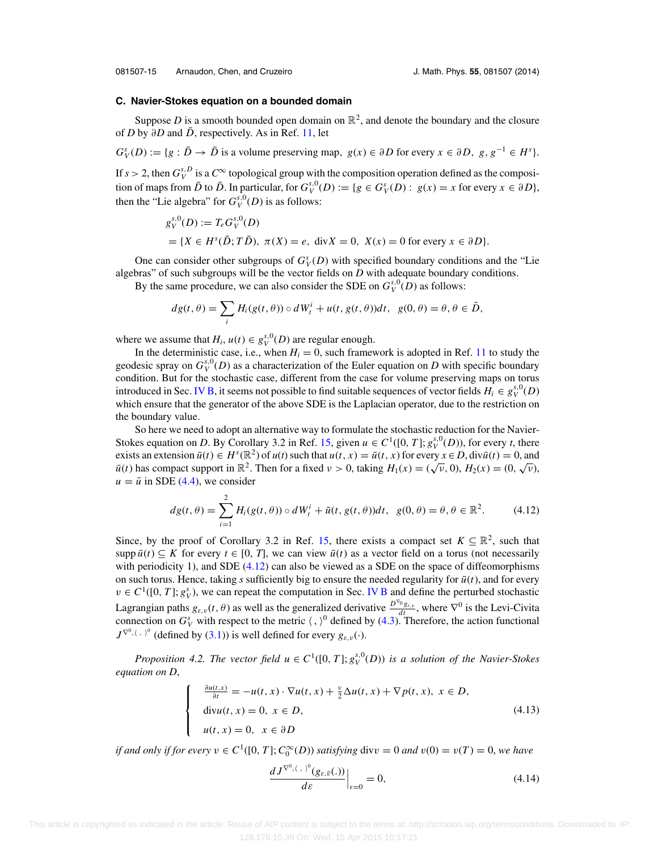<span id="page-15-0"></span>081507-15 Arnaudon, Chen, and Cruzeiro J. Math. Phys. **55**, 081507 (2014)

#### **C. Navier-Stokes equation on a bounded domain**

Suppose *D* is a smooth bounded open domain on  $\mathbb{R}^2$ , and denote the boundary and the closure of *D* by  $\partial D$  and  $\bar{D}$ , respectively. As in Ref. [11,](#page-16-0) let

 $G_V^s(D) := \{g : \overline{D} \to \overline{D} \text{ is a volume preserving map, } g(x) \in \partial D \text{ for every } x \in \partial D, g, g^{-1} \in H^s \}.$ 

If  $s > 2$ , then  $G_V^{s,D}$  is a  $C^{\infty}$  topological group with the composition operation defined as the composition of maps from  $\bar{D}$  to  $\bar{D}$ . In particular, for  $G_V^{s,0}(D) := \{g \in G_V^s(D) : g(x) = x \text{ for every } x \in \partial D\},\$ then the "Lie algebra" for  $G_V^{s,0}(D)$  is as follows:

$$
g_V^{s,0}(D) := T_e G_V^{s,0}(D)
$$
  
= { $X \in H^s(\overline{D}; T\overline{D}), \pi(X) = e, \text{ div } X = 0, X(x) = 0 \text{ for every } x \in \partial D$  }.

One can consider other subgroups of  $G_V^s(D)$  with specified boundary conditions and the "Lie algebras" of such subgroups will be the vector fields on *D* with adequate boundary conditions.

By the same procedure, we can also consider the SDE on  $G_V^{s,0}(D)$  as follows:

$$
dg(t,\theta)=\sum_i H_i(g(t,\theta))\circ dW_t^i+u(t,g(t,\theta))dt,\ \ g(0,\theta)=\theta,\theta\in\bar{D},
$$

where we assume that  $H_i$ ,  $u(t) \in g_V^{s,0}(D)$  are regular enough.

 $\mathbf{I}$  $\int$ 

 $\overline{\mathsf{I}}$ 

In the deterministic case, i.e., when  $H<sub>i</sub> = 0$ , such framework is adopted in Ref. [11](#page-16-0) to study the geodesic spray on  $G_V^{s,0}(D)$  as a characterization of the Euler equation on *D* with specific boundary condition. But for the stochastic case, different from the case for volume preserving maps on torus introduced in Sec. [IV B,](#page-10-0) it seems not possible to find suitable sequences of vector fields  $H_i \in g_V^{s,0}(D)$ which ensure that the generator of the above SDE is the Laplacian operator, due to the restriction on the boundary value.

So here we need to adopt an alternative way to formulate the stochastic reduction for the Navier-Stokes equation on *D*. By Corollary 3.2 in Ref. [15,](#page-17-0) given  $u \in C^1([0, T]; g_V^{s,0}(D))$ , for every *t*, there exists an extension  $\bar{u}(t) \in H^s(\mathbb{R}^2)$  of  $u(t)$  such that  $u(t, x) = \bar{u}(t, x)$  for every  $x \in D$ , div $\bar{u}(t) = 0$ , and *u*<sub> $i$ </sub> has compact support in  $\mathbb{R}^2$ . Then for a fixed  $v > 0$ , taking  $H_1(x) = (\sqrt{v}, 0)$ ,  $H_2(x) = (0, \sqrt{v})$ ,  $\bar{u}(t)$  has compact support in  $\mathbb{R}^2$ . Then for a fixed  $v > 0$ , taking  $H_1(x) = (\sqrt{v}, 0)$ ,  $H_2(x) = (0, \sqrt{v$  $u = \bar{u}$  in SDE [\(4.4\)](#page-11-0), we consider

$$
dg(t,\theta) = \sum_{i=1}^{2} H_i(g(t,\theta)) \circ dW_t^i + \bar{u}(t,g(t,\theta))dt, \ \ g(0,\theta) = \theta, \theta \in \mathbb{R}^2.
$$
 (4.12)

Since, by the proof of Corollary 3.2 in Ref. [15,](#page-17-0) there exists a compact set  $K \subseteq \mathbb{R}^2$ , such that supp  $\bar{u}(t) \subseteq K$  for every  $t \in [0, T]$ , we can view  $\bar{u}(t)$  as a vector field on a torus (not necessarily with periodicity 1), and SDE (4.12) can also be viewed as a SDE on the space of diffeomorphisms on such torus. Hence, taking  $s$  sufficiently big to ensure the needed regularity for  $\bar{u}(t)$ , and for every  $v \in C^1([0, T]; g_V^s)$ , we can repeat the computation in Sec. [IV B](#page-10-0) and define the perturbed stochastic Lagrangian paths  $g_{\varepsilon,\nu}(t,\theta)$  as well as the generalized derivative  $\frac{D^{\nabla_0}g_{\varepsilon,\nu}}{dt}$ , where  $\nabla^0$  is the Levi-Civita connection on  $G_V^s$  with respect to the metric  $\langle , \rangle^0$  defined by [\(4.3\)](#page-10-0). Therefore, the action functional  $J^{\nabla^0, \langle , , \rangle^0}$  (defined by [\(3.1\)](#page-4-0)) is well defined for every  $g_{\varepsilon, v}(\cdot)$ .

*Proposition 4.2. The vector field*  $u \in C^1([0, T]; g^{s,0}_V(D))$  *is a solution of the Navier-Stokes equation on D*,

$$
\frac{\partial u(t,x)}{\partial t} = -u(t,x) \cdot \nabla u(t,x) + \frac{v}{2} \Delta u(t,x) + \nabla p(t,x), \ x \in D,
$$
  
\ndivu(t, x) = 0,  $x \in D$ ,  
\nu(t, x) = 0,  $x \in \partial D$  (4.13)

*if and only if for every*  $v \in C^1([0, T]; C_0^{\infty}(D))$  *satisfying* div $v = 0$  *and*  $v(0) = v(T) = 0$ *, we have* 

$$
\left. \frac{dJ^{\nabla^0,(\cdot,\cdot)^0}(g_{\varepsilon,\bar{\nu}}(.))}{d\varepsilon} \right|_{\varepsilon=0} = 0,\tag{4.14}
$$

 This article is copyrighted as indicated in the article. Reuse of AIP content is subject to the terms at: http://scitation.aip.org/termsconditions. Downloaded to IP: 128.178.10.39 On: Wed, 15 Apr 2015 10:17:21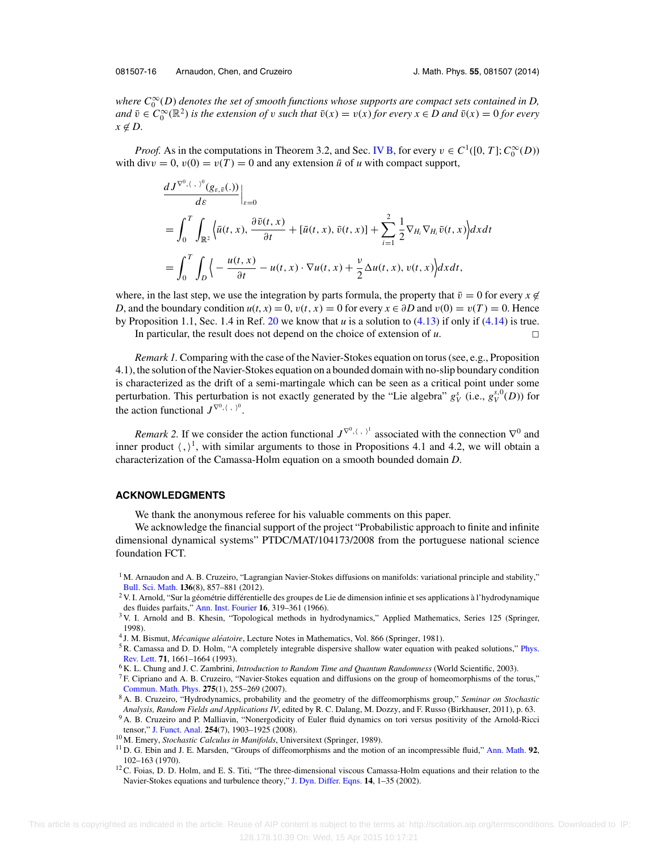<span id="page-16-0"></span>where  $C_0^\infty(D)$  denotes the set of smooth functions whose supports are compact sets contained in D, *and*  $\bar{v} \in C_0^{\infty}(\mathbb{R}^2)$  *is the extension of v such that*  $\bar{v}(x) = v(x)$  *for every*  $x \in D$  *and*  $\bar{v}(x) = 0$  *for every*  $x \notin D$ .

*Proof.* As in the computations in Theorem 3.2, and Sec. [IV B,](#page-10-0) for every  $v \in C^1([0, T]; C_0^{\infty}(D))$ with div $v = 0$ ,  $v(0) = v(T) = 0$  and any extension  $\bar{u}$  of *u* with compact support,

$$
\frac{dJ^{\nabla^{0},\langle \cdot,\cdot\rangle^{0}}(g_{\varepsilon,\bar{v}}(.))}{d\varepsilon}\Big|_{\varepsilon=0}
$$
\n
$$
=\int_{0}^{T}\int_{\mathbb{R}^{2}}\left\langle \bar{u}(t,x),\frac{\partial \bar{v}(t,x)}{\partial t}+[\bar{u}(t,x),\bar{v}(t,x)]+\sum_{i=1}^{2}\frac{1}{2}\nabla_{H_{i}}\nabla_{H_{i}}\bar{v}(t,x)\right\rangle dxdt
$$
\n
$$
=\int_{0}^{T}\int_{D}\left\langle -\frac{u(t,x)}{\partial t}-u(t,x)\cdot \nabla u(t,x)+\frac{\nu}{2}\Delta u(t,x),v(t,x)\right\rangle dxdt,
$$

where, in the last step, we use the integration by parts formula, the property that  $\bar{v} = 0$  for every  $x \notin$ *D*, and the boundary condition  $u(t, x) = 0$ ,  $v(t, x) = 0$  for every  $x \in \partial D$  and  $v(0) = v(T) = 0$ . Hence by Proposition 1.1, Sec. 1.4 in Ref. [20](#page-17-0) we know that *u* is a solution to [\(4.13\)](#page-15-0) if only if [\(4.14\)](#page-15-0) is true.

In particular, the result does not depend on the choice of extension of  $u$ .

*Remark 1.* Comparing with the case of the Navier-Stokes equation on torus (see, e.g., Proposition 4.1), the solution of the Navier-Stokes equation on a bounded domain with no-slip boundary condition is characterized as the drift of a semi-martingale which can be seen as a critical point under some perturbation. This perturbation is not exactly generated by the "Lie algebra"  $g_V^s$  (i.e.,  $g_V^{s,0}(D)$ ) for the action functional  $J^{\nabla^0, \langle , \rangle^0}$ .

*Remark* 2. If we consider the action functional  $J^{\nabla^0, \langle , \rangle^1}$  associated with the connection  $\nabla^0$  and inner product  $\langle , \rangle^1$ , with similar arguments to those in Propositions 4.1 and 4.2, we will obtain a characterization of the Camassa-Holm equation on a smooth bounded domain *D*.

#### **ACKNOWLEDGMENTS**

We thank the anonymous referee for his valuable comments on this paper.

We acknowledge the financial support of the project "Probabilistic approach to finite and infinite dimensional dynamical systems" PTDC/MAT/104173/2008 from the portuguese national science foundation FCT.

<sup>&</sup>lt;sup>1</sup> M. Arnaudon and A. B. Cruzeiro, "Lagrangian Navier-Stokes diffusions on manifolds: variational principle and stability," [Bull. Sci. Math.](http://dx.doi.org/10.1016/j.bulsci.2012.06.007) **136**(8), 857–881 (2012).

 $2$  V. I. Arnold, "Sur la géométrie différentielle des groupes de Lie de dimension infinie et ses applications à l'hydrodynamique des fluides parfaits," [Ann. Inst. Fourier](http://dx.doi.org/10.5802/aif.233) **16**, 319–361 (1966).

<sup>&</sup>lt;sup>3</sup> V. I. Arnold and B. Khesin, "Topological methods in hydrodynamics," Applied Mathematics, Series 125 (Springer, 1998).

<sup>&</sup>lt;sup>4</sup> J. M. Bismut, *Mécanique aléatoire*, Lecture Notes in Mathematics, Vol. 866 (Springer, 1981).

<sup>&</sup>lt;sup>5</sup>R. Camassa and D. D. Holm, "A completely integrable dispersive shallow water equation with peaked solutions," [Phys.](http://dx.doi.org/10.1103/PhysRevLett.71.1661) [Rev. Lett.](http://dx.doi.org/10.1103/PhysRevLett.71.1661) **71**, 1661–1664 (1993).

<sup>6</sup> K. L. Chung and J. C. Zambrini, *Introduction to Random Time and Quantum Randomness* (World Scientific, 2003).

<sup>7</sup> F. Cipriano and A. B. Cruzeiro, "Navier-Stokes equation and diffusions on the group of homeomorphisms of the torus," [Commun. Math. Phys.](http://dx.doi.org/10.1007/s00220-007-0306-3) **275**(1), 255–269 (2007).

<sup>8</sup> A. B. Cruzeiro, "Hydrodynamics, probability and the geometry of the diffeomorphisms group," *Seminar on Stochastic Analysis, Random Fields and Applications IV*, edited by R. C. Dalang, M. Dozzy, and F. Russo (Birkhauser, 2011), p. 63.

<sup>&</sup>lt;sup>9</sup> A. B. Cruzeiro and P. Malliavin, "Nonergodicity of Euler fluid dynamics on tori versus positivity of the Arnold-Ricci tensor," [J. Funct. Anal.](http://dx.doi.org/10.1016/j.jfa.2007.08.002) **254**(7), 1903–1925 (2008).

<sup>10</sup> M. Emery, *Stochastic Calculus in Manifolds*, Universitext (Springer, 1989).

<sup>11</sup> D. G. Ebin and J. E. Marsden, "Groups of diffeomorphisms and the motion of an incompressible fluid," [Ann. Math.](http://dx.doi.org/10.2307/1970699) **92**, 102–163 (1970).

<sup>&</sup>lt;sup>12</sup>C. Foias, D. D. Holm, and E. S. Titi, "The three-dimensional viscous Camassa-Holm equations and their relation to the Navier-Stokes equations and turbulence theory," [J. Dyn. Differ. Eqns.](http://dx.doi.org/10.1023/A:1012984210582) **14**, 1–35 (2002).